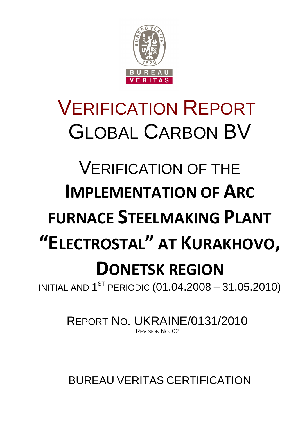

# VERIFICATION REPORT GLOBAL CARBON BV

# VERIFICATION OF THE **IMPLEMENTATION OF ARC FURNACE STEELMAKING PLANT "ELECTROSTAL" AT KURAKHOVO, DONETSK REGION**

INITIAL AND  $1^{\text{ST}}$  PERIODIC  $(01.04.2008 - 31.05.2010)$ 

REPORT NO. UKRAINE/0131/2010 REVISION NO. 02

BUREAU VERITAS CERTIFICATION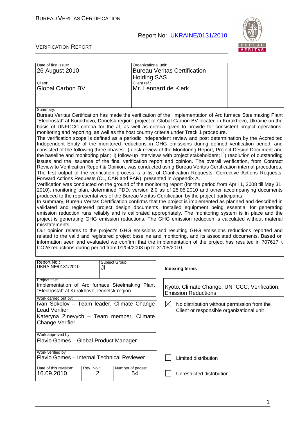

#### VERIFICATION REPORT

| Date of first issue:<br>26 August 2010                                                                                                                                                                                                                                                                                                                                                                                                                                                                                                                                                                                                                                                                                                                                                                                                                                                                                                                                                                                                                                                                                                                                                                                                                                                                                                                                                                                                                                                                                                                                                                                                                                                                                                                                                                                                                                                                                                                                                                                                                                                                                                                                                                                                                                                                                                                                                                                                                                                                                                                                  | Organizational unit:   | <b>Bureau Veritas Certification</b>                                                                     |  |  |
|-------------------------------------------------------------------------------------------------------------------------------------------------------------------------------------------------------------------------------------------------------------------------------------------------------------------------------------------------------------------------------------------------------------------------------------------------------------------------------------------------------------------------------------------------------------------------------------------------------------------------------------------------------------------------------------------------------------------------------------------------------------------------------------------------------------------------------------------------------------------------------------------------------------------------------------------------------------------------------------------------------------------------------------------------------------------------------------------------------------------------------------------------------------------------------------------------------------------------------------------------------------------------------------------------------------------------------------------------------------------------------------------------------------------------------------------------------------------------------------------------------------------------------------------------------------------------------------------------------------------------------------------------------------------------------------------------------------------------------------------------------------------------------------------------------------------------------------------------------------------------------------------------------------------------------------------------------------------------------------------------------------------------------------------------------------------------------------------------------------------------------------------------------------------------------------------------------------------------------------------------------------------------------------------------------------------------------------------------------------------------------------------------------------------------------------------------------------------------------------------------------------------------------------------------------------------------|------------------------|---------------------------------------------------------------------------------------------------------|--|--|
|                                                                                                                                                                                                                                                                                                                                                                                                                                                                                                                                                                                                                                                                                                                                                                                                                                                                                                                                                                                                                                                                                                                                                                                                                                                                                                                                                                                                                                                                                                                                                                                                                                                                                                                                                                                                                                                                                                                                                                                                                                                                                                                                                                                                                                                                                                                                                                                                                                                                                                                                                                         | <b>Holding SAS</b>     |                                                                                                         |  |  |
| Client:<br><b>Global Carbon BV</b>                                                                                                                                                                                                                                                                                                                                                                                                                                                                                                                                                                                                                                                                                                                                                                                                                                                                                                                                                                                                                                                                                                                                                                                                                                                                                                                                                                                                                                                                                                                                                                                                                                                                                                                                                                                                                                                                                                                                                                                                                                                                                                                                                                                                                                                                                                                                                                                                                                                                                                                                      | Client ref.:           | Mr. Lennard de Klerk                                                                                    |  |  |
|                                                                                                                                                                                                                                                                                                                                                                                                                                                                                                                                                                                                                                                                                                                                                                                                                                                                                                                                                                                                                                                                                                                                                                                                                                                                                                                                                                                                                                                                                                                                                                                                                                                                                                                                                                                                                                                                                                                                                                                                                                                                                                                                                                                                                                                                                                                                                                                                                                                                                                                                                                         |                        |                                                                                                         |  |  |
| Summary:<br>Bureau Veritas Certification has made the verification of the "Implementation of Arc furnace Steelmaking Plant<br>"Electrostal" at Kurakhovo, Donetsk region" project of Global Carbon BV located in Kurakhovo, Ukraine on the<br>basis of UNFCCC criteria for the JI, as well as criteria given to provide for consistent project operations,<br>monitoring and reporting, as well as the host country criteria under Track 1 procedure.<br>The verification scope is defined as a periodic independent review and post determination by the Accredited<br>Independent Entity of the monitored reductions in GHG emissions during defined verification period, and<br>consisted of the following three phases: i) desk review of the Monitoring Report, Project Design Document and<br>the baseline and monitoring plan; ii) follow-up interviews with project stakeholders; iii) resolution of outstanding<br>issues and the issuance of the final verification report and opinion. The overall verification, from Contract<br>Review to Verification Report & Opinion, was conducted using Bureau Veritas Certification internal procedures.<br>The first output of the verification process is a list of Clarification Requests, Corrective Actions Requests,<br>Forward Actions Requests (CL, CAR and FAR), presented in Appendix A.<br>Verification was conducted on the ground of the monitoring report (for the period from April 1, 2008 till May 31,<br>2010), monitoring plan, determined PDD, version 2.0 as of 25.05.2010 and other accompanying documents<br>produced to the representatives of the Bureau Veritas Certification by the project participants.<br>In summary, Bureau Veritas Certification confirms that the project is implemented as planned and described in<br>validated and registered project design documents. Installed equipment being essential for generating<br>emission reduction runs reliably and is calibrated appropriately. The monitoring system is in place and the<br>project is generating GHG emission reductions. The GHG emission reduction is calculated without material<br>misstatements.<br>Our opinion relates to the project's GHG emissions and resulting GHG emissions reductions reported and<br>related to the valid and registered project baseline and monitoring, and its associated documents. Based on<br>information seen and evaluated we confirm that the implementation of the project has resulted in 707617 t<br>CO2e reductions during period from 01/04/2008 up to 31/05/2010. |                        |                                                                                                         |  |  |
| Report No.:<br>UKRAINE/0131/2010<br>JI                                                                                                                                                                                                                                                                                                                                                                                                                                                                                                                                                                                                                                                                                                                                                                                                                                                                                                                                                                                                                                                                                                                                                                                                                                                                                                                                                                                                                                                                                                                                                                                                                                                                                                                                                                                                                                                                                                                                                                                                                                                                                                                                                                                                                                                                                                                                                                                                                                                                                                                                  | Subject Group:         | <b>Indexing terms</b>                                                                                   |  |  |
| Project title:<br>Implementation of Arc furnace Steelmaking Plant<br>"Electrostal" at Kurakhovo, Donetsk region                                                                                                                                                                                                                                                                                                                                                                                                                                                                                                                                                                                                                                                                                                                                                                                                                                                                                                                                                                                                                                                                                                                                                                                                                                                                                                                                                                                                                                                                                                                                                                                                                                                                                                                                                                                                                                                                                                                                                                                                                                                                                                                                                                                                                                                                                                                                                                                                                                                         |                        | Kyoto, Climate Change, UNFCCC, Verification,<br><b>Emission Reductions</b>                              |  |  |
| Work carried out by:<br>Ivan Sokolov - Team leader, Climate Change<br><b>Lead Verifier</b><br>Kateryna Zinevych - Team member, Climate<br>Change Verifier                                                                                                                                                                                                                                                                                                                                                                                                                                                                                                                                                                                                                                                                                                                                                                                                                                                                                                                                                                                                                                                                                                                                                                                                                                                                                                                                                                                                                                                                                                                                                                                                                                                                                                                                                                                                                                                                                                                                                                                                                                                                                                                                                                                                                                                                                                                                                                                                               |                        | $\boxtimes$<br>No distribution without permission from the<br>Client or responsible organizational unit |  |  |
| Work approved by:<br>Flavio Gomes - Global Product Manager                                                                                                                                                                                                                                                                                                                                                                                                                                                                                                                                                                                                                                                                                                                                                                                                                                                                                                                                                                                                                                                                                                                                                                                                                                                                                                                                                                                                                                                                                                                                                                                                                                                                                                                                                                                                                                                                                                                                                                                                                                                                                                                                                                                                                                                                                                                                                                                                                                                                                                              |                        |                                                                                                         |  |  |
| Work verified by:<br>Flavio Gomes - Internal Technical Reviewer                                                                                                                                                                                                                                                                                                                                                                                                                                                                                                                                                                                                                                                                                                                                                                                                                                                                                                                                                                                                                                                                                                                                                                                                                                                                                                                                                                                                                                                                                                                                                                                                                                                                                                                                                                                                                                                                                                                                                                                                                                                                                                                                                                                                                                                                                                                                                                                                                                                                                                         |                        | Limited distribution                                                                                    |  |  |
| Date of this revision:<br>Rev. No.:<br>16.09.2010<br>$\overline{2}$                                                                                                                                                                                                                                                                                                                                                                                                                                                                                                                                                                                                                                                                                                                                                                                                                                                                                                                                                                                                                                                                                                                                                                                                                                                                                                                                                                                                                                                                                                                                                                                                                                                                                                                                                                                                                                                                                                                                                                                                                                                                                                                                                                                                                                                                                                                                                                                                                                                                                                     | Number of pages:<br>54 | Unrestricted distribution                                                                               |  |  |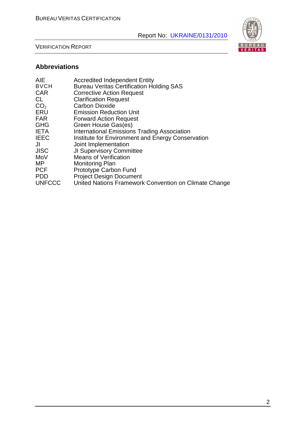VERIFICATION REPORT

# **Abbreviations**

| AIE             | <b>Accredited Independent Entity</b>                  |
|-----------------|-------------------------------------------------------|
| <b>BVCH</b>     | <b>Bureau Veritas Certification Holding SAS</b>       |
| CAR.            | <b>Corrective Action Request</b>                      |
| CL              | <b>Clarification Request</b>                          |
| CO <sub>2</sub> | <b>Carbon Dioxide</b>                                 |
| ERU             | <b>Emission Reduction Unit</b>                        |
| FAR             | <b>Forward Action Request</b>                         |
| <b>GHG</b>      | Green House Gas(es)                                   |
| <b>IETA</b>     | <b>International Emissions Trading Association</b>    |
| <b>IEEC</b>     | Institute for Environment and Energy Conservation     |
| JI              | Joint Implementation                                  |
| JISC            | <b>JI Supervisory Committee</b>                       |
| MoV             | <b>Means of Verification</b>                          |
| MΡ              | <b>Monitoring Plan</b>                                |
| <b>PCF</b>      | Prototype Carbon Fund                                 |
| PDD             | <b>Project Design Document</b>                        |
| <b>UNFCCC</b>   | United Nations Framework Convention on Climate Change |
|                 |                                                       |

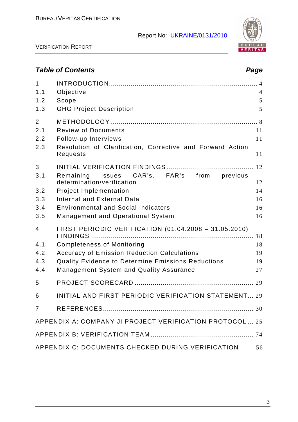

VERIFICATION REPORT

# **Table of Contents Page 2018**

| $\mathbf{1}$<br>1.1<br>1.2<br>1.3    | Objective<br>Scope<br><b>GHG Project Description</b>                                                                                                                                                                                                            | $\overline{4}$<br>5<br>5         |
|--------------------------------------|-----------------------------------------------------------------------------------------------------------------------------------------------------------------------------------------------------------------------------------------------------------------|----------------------------------|
| $\overline{2}$<br>2.1<br>2.2<br>2.3  | <b>Review of Documents</b><br>Follow-up Interviews<br>Resolution of Clarification, Corrective and Forward Action<br>Requests                                                                                                                                    | 11<br>11<br>11                   |
| 3<br>3.1<br>3.2<br>3.3<br>3.4<br>3.5 | Remaining<br>issues CAR's, FAR's from previous<br>determination/verification<br><b>Project Implementation</b><br><b>Internal and External Data</b><br><b>Environmental and Social Indicators</b><br><b>Management and Operational System</b>                    | 12<br>12<br>14<br>16<br>16<br>16 |
| 4<br>4.1<br>4.2<br>4.3<br>4.4        | FIRST PERIODIC VERIFICATION (01.04.2008 - 31.05.2010)<br><b>Completeness of Monitoring</b><br><b>Accuracy of Emission Reduction Calculations</b><br><b>Quality Evidence to Determine Emissions Reductions</b><br><b>Management System and Quality Assurance</b> | 18<br>19<br>19<br>27             |
| 5                                    |                                                                                                                                                                                                                                                                 |                                  |
| 6<br>$\overline{7}$                  | INITIAL AND FIRST PERIODIC VERIFICATION STATEMENT 29<br>APPENDIX A: COMPANY JI PROJECT VERIFICATION PROTOCOL  25                                                                                                                                                |                                  |
|                                      |                                                                                                                                                                                                                                                                 |                                  |
|                                      | APPENDIX C: DOCUMENTS CHECKED DURING VERIFICATION                                                                                                                                                                                                               | 56                               |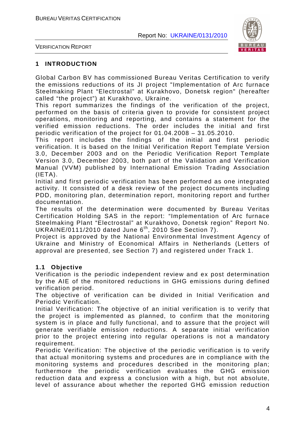

VERIFICATION REPORT

#### **1 INTRODUCTION**

Global Carbon BV has commissioned Bureau Veritas Certification to verify the emissions reductions of its JI project "Implementation of Arc furnace Steelmaking Plant "Electrostal" at Kurakhovo, Donetsk region" (hereafter called "the project") at Kurakhovo, Ukraine.

This report summarizes the findings of the verification of the project, performed on the basis of criteria given to provide for consistent project operations, monitoring and reporting, and contains a statement for the verified emission reductions. The order includes the initial and first periodic verification of the project for 01.04.2008 – 31.05.2010.

This report includes the findings of the initial and first periodic verification. It is based on the Initial Verification Report Template Version 3.0, December 2003 and on the Periodic Verification Report Template Version 3.0, December 2003, both part of the Validation and Verification Manual (VVM) published by International Emission Trading Association  $(IFTA)$ .

Initial and first periodic verification has been performed as one integrated activity. It consisted of a desk review of the project documents including PDD, monitoring plan, determination report, monitoring report and further documentation.

The results of the determination were documented by Bureau Veritas Certification Holding SAS in the report: "Implementation of Arc furnace Steelmaking Plant "Electrostal" at Kurakhovo, Donetsk region" Report No. UKRAINE/0111/2010 dated June 6<sup>th</sup>, 2010 See Section 7).

Project is approved by the National Environmental Investment Agency of Ukraine and Ministry of Economical Affairs in Netherlands (Letters of approval are presented, see Section 7) and registered under Track 1.

#### **1.1 Objective**

Verification is the periodic independent review and ex post determination by the AIE of the monitored reductions in GHG emissions during defined verification period.

The objective of verification can be divided in Initial Verification and Periodic Verification.

Initial Verification: The objective of an initial verification is to verify that the project is implemented as planned, to confirm that the monitoring system is in place and fully functional, and to assure that the project will generate verifiable emission reductions. A separate initial verification prior to the project entering into regular operations is not a mandatory requirement.

Periodic Verification: The objective of the periodic verification is to verify that actual monitoring systems and procedures are in compliance with the monitoring systems and procedures described in the monitoring plan; furthermore the periodic verification evaluates the GHG emission reduction data and express a conclusion with a high, but not absolute, level of assurance about whether the reported GHG emission reduction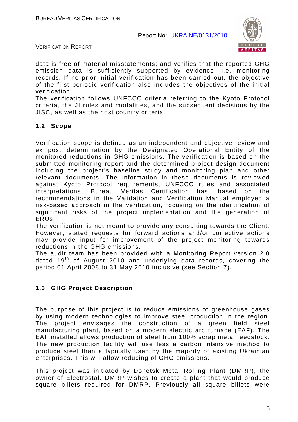

VERIFICATION REPORT

data is free of material misstatements; and verifies that the reported GHG emission data is sufficiently supported by evidence, i.e. monitoring records. If no prior initial verification has been carried out, the objective of the first periodic verification also includes the objectives of the initial verification.

The verification follows UNFCCC criteria referring to the Kyoto Protocol criteria, the JI rules and modalities, and the subsequent decisions by the JISC, as well as the host country criteria.

### **1.2 Scope**

Verification scope is defined as an independent and objective review and ex post determination by the Designated Operational Entity of the monitored reductions in GHG emissions. The verification is based on the submitted monitoring report and the determined project design document including the project's baseline study and monitoring plan and other relevant documents. The information in these documents is reviewed against Kyoto Protocol requirements, UNFCCC rules and associated interpretations. Bureau Veritas Certification has, based on the recommendations in the Validation and Verification Manual employed a risk-based approach in the verification, focusing on the identification of significant risks of the project implementation and the generation of ERUs.

The verification is not meant to provide any consulting towards the Client. However, stated requests for forward actions and/or corrective actions may provide input for improvement of the project monitoring towards reductions in the GHG emissions.

The audit team has been provided with a Monitoring Report version 2.0 dated  $19<sup>th</sup>$  of August 2010 and underlying data records, covering the period 01 April 2008 to 31 May 2010 inclusive (see Section 7).

#### **1.3 GHG Project Description**

The purpose of this project is to reduce emissions of greenhouse gases by using modern technologies to improve steel production in the region. The project envisages the construction of a green field steel manufacturing plant, based on a modern electric arc furnace (EAF). The EAF installed allows production of steel from 100% scrap metal feedstock. The new production facility will use less a carbon intensive method to produce steel than a typically used by the majority of existing Ukrainian enterprises. This will allow reducing of GHG emissions.

This project was initiated by Donetsk Metal Rolling Plant (DMRP), the owner of Electrostal. DMRP wishes to create a plant that would produce square billets required for DMRP. Previously all square billets were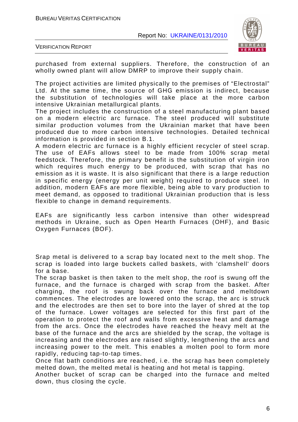

VERIFICATION REPORT

purchased from external suppliers. Therefore, the construction of an wholly owned plant will allow DMRP to improve their supply chain.

The project activities are limited physically to the premises of "Electrostal" Ltd. At the same time, the source of GHG emission is indirect, because the substitution of technologies will take place at the more carbon intensive Ukrainian metallurgical plants.

The project includes the construction of a steel manufacturing plant based on a modern electric arc furnace. The steel produced will substitute similar production volumes from the Ukrainian market that have been produced due to more carbon intensive technologies. Detailed technical information is provided in section B.1.

A modern electric arc furnace is a highly efficient recycler of steel scrap. The use of EAFs allows steel to be made from 100% scrap metal feedstock. Therefore, the primary benefit is the substitution of virgin iron which requires much energy to be produced, with scrap that has no emission as it is waste. It is also significant that there is a large reduction in specific energy (energy per unit weight) required to produce steel. In addition, modern EAFs are more flexible, being able to vary production to meet demand, as opposed to traditional Ukrainian production that is less flexible to change in demand requirements.

EAFs are significantly less carbon intensive than other widespread methods in Ukraine, such as Open Hearth Furnaces (OHF), and Basic Oxygen Furnaces (BOF).

Srap metal is delivered to a scrap bay located next to the melt shop. The scrap is loaded into large buckets called baskets, with 'clamshell' doors for a base.

The scrap basket is then taken to the melt shop, the roof is swung off the furnace, and the furnace is charged with scrap from the basket. After charging, the roof is swung back over the furnace and meltdown commences. The electrodes are lowered onto the scrap, the arc is struck and the electrodes are then set to bore into the layer of shred at the top of the furnace. Lower voltages are selected for this first part of the operation to protect the roof and walls from excessive heat and damage from the arcs. Once the electrodes have reached the heavy melt at the base of the furnace and the arcs are shielded by the scrap, the voltage is increasing and the electrodes are raised slightly, lengthening the arcs and increasing power to the melt. This enables a molten pool to form more rapidly, reducing tap-to-tap times.

Once flat bath conditions are reached, i.e. the scrap has been completely melted down, the melted metal is heating and hot metal is tapping.

Another bucket of scrap can be charged into the furnace and melted down, thus closing the cycle.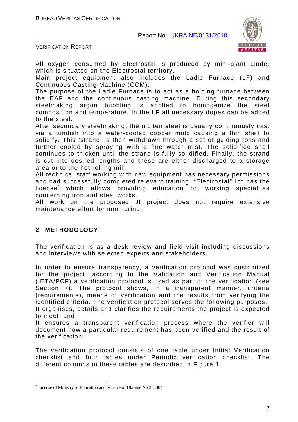

VERIFICATION REPORT

All oxygen consumed by Electrostal is produced by mini-plant Linde, which is situated on the Electrostal territory.

Main project equipment also includes the Ladle Furnace (LF) and Continuous Casting Machine (CCM).

The purpose of the Ladle Furnace is to act as a holding furnace between the EAF and the continuous casting machine. During this secondary steelmaking argon bubbling is applied to homogenize the steel composition and temperature. In the LF all necessary dopes can be added to the steel.

After secondary steelmaking, the molten steel is usually continuously cast via a tundish into a water-cooled copper mold causing a thin shell to solidify. This 'strand' is then withdrawn through a set of guiding rolls and further cooled by spraying with a fine water mist. The solidified shell continues to thicken until the strand is fully solidified. Finally, the strand is cut into desired lengths and these are either discharged to a storage area or to the hot rolling mill.

All technical staff working with new equipment has necessary permissions and had successfully completed relevant training. "Electrostal" Ltd has the license<sup>\*</sup> which allows providing education on working specialties concerning iron and steel works.

All work on the proposed JI project does not require extensive maintenance effort for monitoring.

#### **2 METHODOLOGY**

 $\overline{a}$ 

The verification is as a desk review and field visit including discussions and interviews with selected experts and stakeholders.

In order to ensure transparency, a verification protocol was customized for the project, according to the Validation and Verification Manual (IETA/PCF) a verification protocol is used as part of the verification (see Section 7). The protocol shows, in a transparent manner, criteria (requirements), means of verification and the results from verifying the identified criteria. The verification protocol serves the following purposes:

It organises, details and clarifies the requirements the project is expected to meet; and

It ensures a transparent verification process where the verifier will document how a particular requirement has been verified and the result of the verification;

The verification protocol consists of one table under Initial Verification checklist and four tables under Periodic verification checklist. The different columns in these tables are described in Figure 1.

<sup>\*</sup> License of Ministry of Education and Science of Ukraine No 363304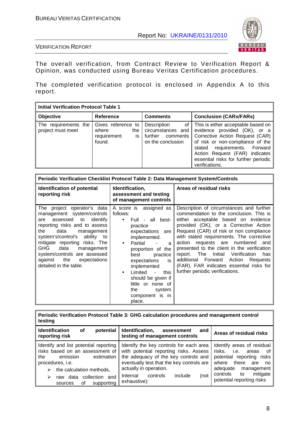

VERIFICATION REPORT

The overall verification, from Contract Review to Verification Report & Opinion, was conducted using Bureau Veritas Certification procedures.

The completed verification protocol is enclosed in Appendix A to this report.

| <b>Initial Verification Protocol Table 1</b> |                                                                   |                                                                                    |                                                                                                                                                                                                                                                                          |  |  |
|----------------------------------------------|-------------------------------------------------------------------|------------------------------------------------------------------------------------|--------------------------------------------------------------------------------------------------------------------------------------------------------------------------------------------------------------------------------------------------------------------------|--|--|
| Objective                                    | <b>Reference</b>                                                  | <b>Comments</b>                                                                    | <b>Conclusion (CARs/FARs)</b>                                                                                                                                                                                                                                            |  |  |
| The requirements the<br>project must meet    | Gives reference to<br>where<br>the<br>requirement<br>is<br>found. | Description<br>οf<br>circumstances and<br>further<br>comments<br>on the conclusion | This is either acceptable based on<br>evidence provided (OK), or a<br>Corrective Action Request (CAR)<br>of risk or non-compliance of the<br>requirements. Forward<br>stated<br>Action Request (FAR) indicates<br>essential risks for further periodic<br>verifications. |  |  |

| Periodic Verification Checklist Protocol Table 2: Data Management System/Controls                                                                                                                                                                                                                                                                    |                                                                                                                                                                                                                                                                                                                                                                   |                                                                                                                                                                                                                                                                                                                                                                                                                                                                                                                              |  |
|------------------------------------------------------------------------------------------------------------------------------------------------------------------------------------------------------------------------------------------------------------------------------------------------------------------------------------------------------|-------------------------------------------------------------------------------------------------------------------------------------------------------------------------------------------------------------------------------------------------------------------------------------------------------------------------------------------------------------------|------------------------------------------------------------------------------------------------------------------------------------------------------------------------------------------------------------------------------------------------------------------------------------------------------------------------------------------------------------------------------------------------------------------------------------------------------------------------------------------------------------------------------|--|
| Identification of potential<br>reporting risk                                                                                                                                                                                                                                                                                                        | Identification,<br>assessment and testing<br>of management controls                                                                                                                                                                                                                                                                                               | Areas of residual risks                                                                                                                                                                                                                                                                                                                                                                                                                                                                                                      |  |
| The project operator's data<br>management system/controls<br>assessed to<br>identify<br>are<br>reporting risks and to assess<br>data<br>the<br>management<br>system's/control's ability to<br>mitigate reporting risks. The<br>GHG<br>data<br>management<br>system/controls are assessed<br>the<br>against<br>expectations<br>detailed in the table. | A score is assigned as<br>follows:<br>Full - all best-<br>$\bullet$<br>practice<br>expectations are<br>implemented.<br>Partial<br>$\bullet$<br>a<br>proportion of the<br>best<br>practice<br>expectations<br>is<br>implemented<br>Limited<br>this<br>$\sim$<br>$\bullet$<br>should be given if<br>little or none of<br>the<br>system<br>component is in<br>place. | Description of circumstances and further<br>commendation to the conclusion. This is<br>either acceptable based on evidence<br>provided (OK), or a Corrective Action<br>Request (CAR) of risk or non compliance<br>with stated requirements. The corrective<br>action requests are numbered<br>and<br>presented to the client in the verification<br>report. The<br>Initial<br>Verification<br>has<br>additional Forward<br>Action<br>Requests<br>(FAR). FAR indicates essential risks for<br>further periodic verifications. |  |

**Periodic Verification Protocol Table 3: GHG calculation procedures and management control testing** 

| <b>Identification</b><br>potential<br>οf<br>reporting risk                                                                                                     | Identification,<br>assessment<br>and<br>testing of management controls                                                                                                                           | Areas of residual risks                                                                                                                            |
|----------------------------------------------------------------------------------------------------------------------------------------------------------------|--------------------------------------------------------------------------------------------------------------------------------------------------------------------------------------------------|----------------------------------------------------------------------------------------------------------------------------------------------------|
| Identify and list potential reporting<br>risks based on an assessment of<br>emission<br>estimation<br>the<br>procedures, i.e.<br>the calculation methods,<br>➤ | Identify the key controls for each area<br>with potential reporting risks. Assess<br>the adequacy of the key controls and<br>eventually test that the key controls are<br>actually in operation. | Identify areas of residual<br>risks,<br>i.e.<br>of<br>areas<br>potential reporting risks<br>there<br>where<br>are<br>no.<br>management<br>adequate |
| collection and<br>data<br>➤<br>raw<br>supporting<br>οf<br>sources                                                                                              | include<br>Internal<br>(not<br>controls<br>exhaustive):                                                                                                                                          | mitigate<br>controls<br>to<br>potential reporting risks                                                                                            |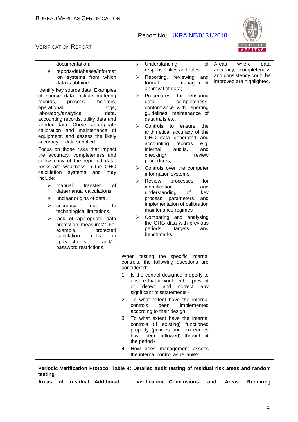

#### VERIFICATION REPORT

| documentation,                                                                                                                                                                                                                                                                 | ➤              | Understanding<br>of                                                                                                                                                                                                                                                          | where<br>Areas<br>data                                |
|--------------------------------------------------------------------------------------------------------------------------------------------------------------------------------------------------------------------------------------------------------------------------------|----------------|------------------------------------------------------------------------------------------------------------------------------------------------------------------------------------------------------------------------------------------------------------------------------|-------------------------------------------------------|
| reports/databases/informat<br>⋗                                                                                                                                                                                                                                                |                | responsibilities and roles                                                                                                                                                                                                                                                   | accuracy, completeness                                |
| ion systems from which<br>data is obtained.                                                                                                                                                                                                                                    | ➤              | Reporting,<br>reviewing<br>and<br>formal<br>management                                                                                                                                                                                                                       | and consistency could be<br>improved are highlighted. |
| Identify key source data. Examples<br>of source data include metering<br>monitors,<br>records,<br>process<br>operational<br>logs,<br>laboratory/analytical<br>data,<br>accounting records, utility data and                                                                    | ➤              | approval of data;<br>Procedures<br>for<br>ensuring<br>completeness,<br>data<br>conformance with reporting<br>guidelines, maintenance of<br>data trails etc.                                                                                                                  |                                                       |
| vendor data. Check appropriate<br>calibration and maintenance of<br>equipment, and assess the likely<br>accuracy of data supplied.<br>Focus on those risks that impact<br>the accuracy, completeness and<br>consistency of the reported data.<br>Risks are weakness in the GHG | ⋗<br>➤         | Controls<br>to<br>the<br>ensure<br>arithmetical accuracy of the<br>GHG data generated and<br>accounting<br>records<br>e.g.<br>internal<br>audits,<br>and<br>checking/<br>review<br>procedures;<br>Controls over the computer                                                 |                                                       |
| calculation systems<br>and<br>may<br>include:                                                                                                                                                                                                                                  |                | information systems;                                                                                                                                                                                                                                                         |                                                       |
| ➤<br>manual<br>transfer<br>οf<br>data/manual calculations,<br>unclear origins of data,<br>➤<br>due<br>➤<br>accuracy<br>to<br>technological limitations,<br>➤<br>lack of appropriate data<br>protection measures? For<br>example,<br>protected<br>calculation<br>cells<br>in.   | ➤<br>➤         | Review<br>processes<br>for<br>identification<br>and<br>understanding<br>of<br>key<br>and<br>process parameters<br>implementation of calibration<br>maintenance regimes<br>Comparing and analysing<br>the GHG data with previous<br>periods,<br>targets<br>and<br>benchmarks. |                                                       |
| spreadsheets<br>and/or<br>password restrictions.                                                                                                                                                                                                                               |                |                                                                                                                                                                                                                                                                              |                                                       |
|                                                                                                                                                                                                                                                                                | considered:    | When testing the specific internal<br>controls, the following questions are                                                                                                                                                                                                  |                                                       |
|                                                                                                                                                                                                                                                                                | 1.<br>or       | Is the control designed properly to<br>ensure that it would either prevent<br>detect<br>and<br>correct<br>any<br>significant misstatements?                                                                                                                                  |                                                       |
|                                                                                                                                                                                                                                                                                | 2.<br>controls | To what extent have the internal<br>been<br>implemented<br>according to their design;                                                                                                                                                                                        |                                                       |
|                                                                                                                                                                                                                                                                                | the period?    | 3. To what extent have the internal<br>controls (if existing) functioned<br>properly (policies and procedures<br>have been followed) throughout                                                                                                                              |                                                       |
|                                                                                                                                                                                                                                                                                |                | 4. How does management assess<br>the internal control as reliable?                                                                                                                                                                                                           |                                                       |

**Periodic Verification Protocol Table 4: Detailed audit testing of residual risk areas and random testing Areas of residual Additional verification Conclusions and Areas Requiring**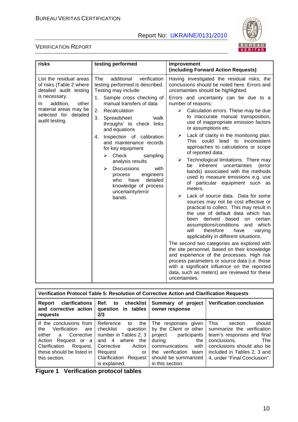

#### VERIFICATION REPORT

| risks                                                                                                                                                                                          | testing performed                                                                                                                                                                                                                                                                                                                                                                                                                                                                                                                          | Improvement                                                                                                                                                                                                                                                                                                                                                                                                                                                                                                                                                                                                                                                                                                                                                                                                                                                                                                                                                                                                                                                                                                                                                                                                                                           |
|------------------------------------------------------------------------------------------------------------------------------------------------------------------------------------------------|--------------------------------------------------------------------------------------------------------------------------------------------------------------------------------------------------------------------------------------------------------------------------------------------------------------------------------------------------------------------------------------------------------------------------------------------------------------------------------------------------------------------------------------------|-------------------------------------------------------------------------------------------------------------------------------------------------------------------------------------------------------------------------------------------------------------------------------------------------------------------------------------------------------------------------------------------------------------------------------------------------------------------------------------------------------------------------------------------------------------------------------------------------------------------------------------------------------------------------------------------------------------------------------------------------------------------------------------------------------------------------------------------------------------------------------------------------------------------------------------------------------------------------------------------------------------------------------------------------------------------------------------------------------------------------------------------------------------------------------------------------------------------------------------------------------|
| List the residual areas<br>of risks (Table 2 where<br>detailed audit testing<br>is necessary.<br>addition,<br>other<br>In.<br>material areas may be<br>selected for detailed<br>audit testing. | verification<br>The<br>additional<br>testing performed is described.<br>Testing may include:<br>Sample cross checking of<br>1.<br>manual transfers of data<br>2.<br>Recalculation<br>3.<br>Spreadsheet<br>ʻwalk<br>throughs' to check links<br>and equations<br>Inspection of calibration<br>4.<br>and maintenance records<br>for key equipment<br>Check<br>⋗<br>sampling<br>analysis results<br><b>Discussions</b><br>➤<br>with<br>process<br>engineers<br>detailed<br>who<br>have<br>knowledge of process<br>uncertainty/error<br>bands. | (including Forward Action Requests)<br>Having investigated the residual risks, the<br>conclusions should be noted here. Errors and<br>uncertainties should be highlighted.<br>Errors and uncertainty can be due to a<br>number of reasons:<br>Calculation errors. These may be due<br>≻<br>to inaccurate manual transposition,<br>use of inappropriate emission factors<br>or assumptions etc.<br>Lack of clarity in the monitoring plan.<br>≻<br>This could lead to<br>inconsistent<br>approaches to calculations or scope<br>of reported data.<br>Technological limitations. There may<br>➤<br>inherent uncertainties<br>(error<br>be<br>bands) associated with the methods<br>used to measure emissions e.g. use<br>of particular equipment such as<br>meters.<br>Lack of source data. Data for some<br>➤<br>sources may not be cost effective or<br>practical to collect. This may result in<br>the use of default data which has<br>based<br>been derived<br>certain<br>on<br>assumptions/conditions<br>and which<br>will<br>therefore<br>have<br>varying<br>applicability in different situations.<br>The second two categories are explored with<br>the site personnel, based on their knowledge<br>and experience of the processes. High risk |
|                                                                                                                                                                                                |                                                                                                                                                                                                                                                                                                                                                                                                                                                                                                                                            | process parameters or source data (i.e. those<br>with a significant influence on the reported<br>data, such as meters) are reviewed for these<br>uncertainties.                                                                                                                                                                                                                                                                                                                                                                                                                                                                                                                                                                                                                                                                                                                                                                                                                                                                                                                                                                                                                                                                                       |

| Verification Protocol Table 5: Resolution of Corrective Action and Clarification Requests                                                                                                 |                                                                                                                                                                                             |                                                                                                                                                                                          |                                                                                                                                                                                                                         |  |
|-------------------------------------------------------------------------------------------------------------------------------------------------------------------------------------------|---------------------------------------------------------------------------------------------------------------------------------------------------------------------------------------------|------------------------------------------------------------------------------------------------------------------------------------------------------------------------------------------|-------------------------------------------------------------------------------------------------------------------------------------------------------------------------------------------------------------------------|--|
| clarifications<br>Report<br>and corrective action<br>requests                                                                                                                             | Ref.<br>to checklist<br>question in tables<br>2/3                                                                                                                                           | Summary of project<br>owner response                                                                                                                                                     | <b>Verification conclusion</b>                                                                                                                                                                                          |  |
| If the conclusions from<br>Verification<br>the<br>are<br>either<br>Corrective<br>a i<br>Request or a<br>Action<br>Clarification<br>Request,<br>these should be listed in<br>this section. | Reference<br>the<br>to<br>checklist<br>question<br>number in Tables 2, 3<br>where<br>and 4<br>the<br>Corrective<br>Action<br>Request<br>or<br><b>Clarification Request</b><br>is explained. | The responses given<br>by the Client or other<br>project participants<br>during<br>the<br>with<br>communications<br>the verification<br>team<br>should be summarized<br>in this section. | <b>This</b><br>should<br>section<br>summarize the verification<br>team's responses and final<br>conclusions.<br><b>The</b><br>conclusions should also be<br>included in Tables 2, 3 and<br>4, under "Final Conclusion". |  |

**Figure 1 Verification protocol tables**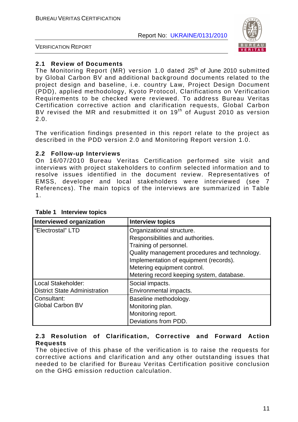

VERIFICATION REPORT

#### **2.1 Review of Documents**

The Monitoring Report (MR) version 1.0 dated 25<sup>th</sup> of June 2010 submitted by Global Carbon BV and additional background documents related to the project design and baseline, i.e. country Law, Project Design Document (PDD), applied methodology, Kyoto Protocol, Clarifications on Verification Requirements to be checked were reviewed. To address Bureau Veritas Certification corrective action and clarification requests, Global Carbon BV revised the MR and resubmitted it on  $19<sup>th</sup>$  of August 2010 as version 2.0.

The verification findings presented in this report relate to the project as described in the PDD version 2.0 and Monitoring Report version 1.0.

#### **2.2 Follow-up Interviews**

On 16/07/2010 Bureau Veritas Certification performed site visit and interviews with project stakeholders to confirm selected information and to resolve issues identified in the document review. Representatives of EMSS, developer and local stakeholders were interviewed (see 7 References). The main topics of the interviews are summarized in Table 1.

| Interviewed organization             | <b>Interview topics</b>                       |
|--------------------------------------|-----------------------------------------------|
| "Electrostal" LTD                    | Organizational structure.                     |
|                                      | Responsibilities and authorities.             |
|                                      | Training of personnel.                        |
|                                      | Quality management procedures and technology. |
|                                      | Implementation of equipment (records).        |
|                                      | Metering equipment control.                   |
|                                      | Metering record keeping system, database.     |
| Local Stakeholder:                   | Social impacts.                               |
| <b>District State Administration</b> | Environmental impacts.                        |
| Consultant:                          | Baseline methodology.                         |
| <b>Global Carbon BV</b>              | Monitoring plan.                              |
|                                      | Monitoring report.                            |
|                                      | Deviations from PDD.                          |

#### **Table 1 Interview topics**

#### **2.3 Resolution of Clarification, Corrective and Forward Action Requests**

The objective of this phase of the verification is to raise the requests for corrective actions and clarification and any other outstanding issues that needed to be clarified for Bureau Veritas Certification positive conclusion on the GHG emission reduction calculation.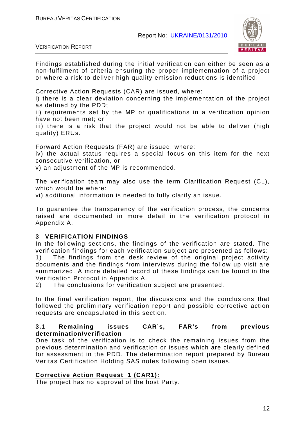

VERIFICATION REPORT

Findings established during the initial verification can either be seen as a non-fulfilment of criteria ensuring the proper implementation of a project or where a risk to deliver high quality emission reductions is identified.

Corrective Action Requests (CAR) are issued, where:

i) there is a clear deviation concerning the implementation of the project as defined by the PDD;

ii) requirements set by the MP or qualifications in a verification opinion have not been met; or

iii) there is a risk that the project would not be able to deliver (high quality) ERUs.

Forward Action Requests (FAR) are issued, where:

iv) the actual status requires a special focus on this item for the next consecutive verification, or

v) an adjustment of the MP is recommended.

The verification team may also use the term Clarification Request (CL), which would be where:

vi) additional information is needed to fully clarify an issue.

To guarantee the transparency of the verification process, the concerns raised are documented in more detail in the verification protocol in Appendix A.

#### **3 VERIFICATION FINDINGS**

In the following sections, the findings of the verification are stated. The verification findings for each verification subject are presented as follows: 1) The findings from the desk review of the original project activity documents and the findings from interviews during the follow up visit are summarized. A more detailed record of these findings can be found in the Verification Protocol in Appendix A.

2) The conclusions for verification subject are presented.

In the final verification report, the discussions and the conclusions that followed the preliminary verification report and possible corrective action requests are encapsulated in this section.

#### **3.1 Remaining issues CAR's, FAR's from previous determination/verification**

One task of the verification is to check the remaining issues from the previous determination and verification or issues which are clearly defined for assessment in the PDD. The determination report prepared by Bureau Veritas Certification Holding SAS notes following open issues.

#### **Corrective Action Request 1 (CAR1):**

The project has no approval of the host Party.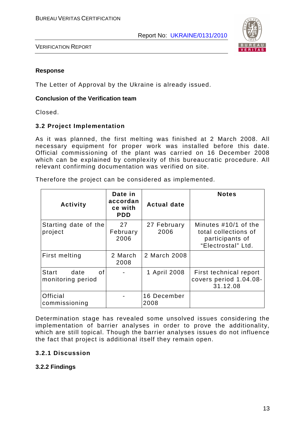

#### **Response**

The Letter of Approval by the Ukraine is already issued.

#### **Conclusion of the Verification team**

Closed.

#### **3.2 Project Implementation**

As it was planned, the first melting was finished at 2 March 2008. All necessary equipment for proper work was installed before this date. Official commissioning of the plant was carried on 16 December 2008 which can be explained by complexity of this bureaucratic procedure. All relevant confirming documentation was verified on site.

Therefore the project can be considered as implemented.

| <b>Activity</b>                          | Date in<br>accordan<br>ce with<br><b>PDD</b> | <b>Actual date</b>  | <b>Notes</b>                                                                          |
|------------------------------------------|----------------------------------------------|---------------------|---------------------------------------------------------------------------------------|
| Starting date of the<br>project          | 27<br>February<br>2006                       | 27 February<br>2006 | Minutes #10/1 of the<br>total collections of<br>participants of<br>"Electrostal" Ltd. |
| <b>First melting</b>                     | 2 March<br>2008                              | 2 March 2008        |                                                                                       |
| Start<br>date<br>οf<br>monitoring period |                                              | 1 April 2008        | First technical report<br>covers period 1.04.08-<br>31.12.08                          |
| <b>Official</b><br>commissioning         |                                              | 16 December<br>2008 |                                                                                       |

Determination stage has revealed some unsolved issues considering the implementation of barrier analyses in order to prove the additionality, which are still topical. Though the barrier analyses issues do not influence the fact that project is additional itself they remain open.

#### **3.2.1 Discussion**

#### **3.2.2 Findings**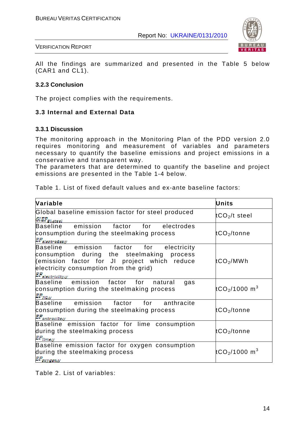

All the findings are summarized and presented in the Table 5 below (CAR1 and CL1).

#### **3.2.3 Conclusion**

The project complies with the requirements.

#### **3.3 Internal and External Data**

#### **3.3.1 Discussion**

The monitoring approach in the Monitoring Plan of the PDD version 2.0 requires monitoring and measurement of variables and parameters necessary to quantify the baseline emissions and project emissions in a conservative and transparent way.

The parameters that are determined to quantify the baseline and project emissions are presented in the Table 1-4 below.

| Table 1. List of fixed default values and ex-ante baseline factors: |  |  |  |  |  |  |  |
|---------------------------------------------------------------------|--|--|--|--|--|--|--|
|---------------------------------------------------------------------|--|--|--|--|--|--|--|

| Variable                                                                                                                                                                                                              | <b>Units</b>                          |
|-----------------------------------------------------------------------------------------------------------------------------------------------------------------------------------------------------------------------|---------------------------------------|
| Global baseline emission factor for steel produced<br>GLEF <sub>Bl.steel</sub>                                                                                                                                        | tCO <sub>2</sub> /t steel             |
| emission<br>factor<br>for<br><b>Baseline</b><br>electrodes<br>consumption during the steelmaking process<br>EF <sub>electrodesy</sub>                                                                                 | tCO <sub>2</sub> /tonne               |
| emission factor<br>Baseline<br>for electricity<br>consumption during the steelmaking process<br>(emission factor for JI project which reduce<br>electricity consumption from the grid)<br>EF <sub>electricity.y</sub> | tCO <sub>2</sub> /MWh                 |
| factor<br>Baseline emission<br>for<br>natural<br>gas<br>consumption during the steelmaking process<br>$EF_{NG, \psi}$                                                                                                 | tCO <sub>2</sub> /1000 m <sup>3</sup> |
| Baseline emission<br>factor<br>for<br>anthracite<br>consumption during the steelmaking process<br>$E\!F_{antracite, y}$                                                                                               | tCO <sub>2</sub> /tonne               |
| Baseline emission factor for lime consumption<br>during the steelmaking process<br>$EF_{line, y}$                                                                                                                     | tCO2/tonne                            |
| Baseline emission factor for oxygen consumption<br>during the steelmaking process<br>$EF_{oxygen, y}$                                                                                                                 | tCO <sub>2</sub> /1000 m <sup>3</sup> |

Table 2. List of variables: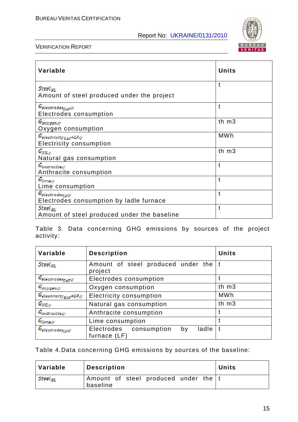

| Variable                                                                       | <b>Units</b> |
|--------------------------------------------------------------------------------|--------------|
| Steel <sub>PL</sub><br>Amount of steel produced under the project              | t            |
| $G_{electrodes_{EAP}y}$<br>Electrodes consumption                              | t            |
| $G_{oxygon,y}$<br>Oxygen consumption                                           | th $m3$      |
| $G_{electricity_{EAF}+LF,y} \label{eq:G}$<br><b>Electricity consumption</b>    | <b>MWh</b>   |
| $G_{NG, y}$<br>Natural gas consumption                                         | th m3        |
| $G_{an\bar{c}rac\bar{c}te,y}$<br>Anthracite consumption                        | t            |
| $G_{lineo,y}$<br>Lime consumption                                              | t            |
| $G_{electrodes_{L\!P} \mathcal{Y}}$<br>Electrodes consumption by ladle furnace | t            |
| Steel <sub>m</sub><br>Amount of steel produced under the baseline              | t            |

Table 3. Data concerning GHG emissions by sources of the project activity:

| Variable                                | <b>Description</b>                                    | <b>Units</b> |
|-----------------------------------------|-------------------------------------------------------|--------------|
| Steel <sub>pt</sub>                     | Amount of steel produced under the<br>project         |              |
| $G_{electrodes_{EAP} \mathcal{Y}}$      | Electrodes consumption                                |              |
| $G_{oxygem,y}$                          | Oxygen consumption                                    | th m3        |
| $G_{electroity_{EAF}+LF,y}$             | <b>Electricity consumption</b>                        | <b>MWh</b>   |
| $G_{NG, y}$                             | Natural gas consumption                               | th m3        |
| $\mathcal{G}_{an \texttt{traceits}, y}$ | Anthracite consumption                                |              |
| $G_{lim2a,y}$                           | Lime consumption                                      |              |
| $G_{electrodes_{LP}y}$                  | Electrodes consumption<br>ladle<br>by<br>furnace (LF) |              |

Table 4.Data concerning GHG emissions by sources of the baseline:

| Variable                  | <b>Description</b>                                 | ∣ Units |
|---------------------------|----------------------------------------------------|---------|
| $  \ \mathit{Steel}_{BL}$ | Amount of steel produced under the   t<br>baseline |         |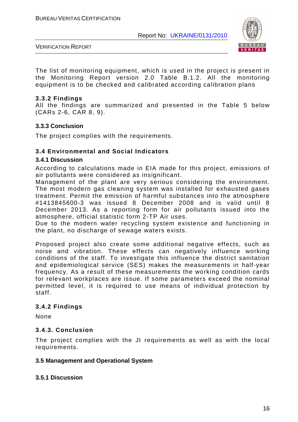

The list of monitoring equipment, which is used in the project is present in the Monitoring Report version 2.0 Table B.1.2. All the monitoring equipment is to be checked and calibrated according calibration plans

#### **3.3.2 Findings**

All the findings are summarized and presented in the Table 5 below (CARs 2-6, CAR 8, 9).

#### **3.3.3 Conclusion**

The project complies with the requirements.

#### **3.4 Environmental and Social Indicators**

#### **3.4.1 Discussion**

According to calculations made in EIA made for this project, emissions of air pollutants were considered as insignificant.

Management of the plant are very serious considering the environment. The most modern gas cleaning system was installed for exhausted gases treatment. Permit the emission of harmful substances into the atmosphere #1413845600-3 was issued 8 December 2008 and is valid until 8 December 2013. As a reporting form for air pollutants issued into the atmosphere, official statistic form 2-TP Air uses.

Due to the modern water recycling system existence and functioning in the plant, no discharge of sewage waters exists.

Proposed project also create some additional negative effects, such as noise and vibration. These effects can negatively influence working conditions of the staff. To investigate this influence the district sanitation and epidemiological service (SES) makes the measurements in half-year frequency. As a result of these measurements the working condition cards for relevant workplaces are issue. If some parameters exceed the nominal permitted level, it is required to use means of individual protection by staff.

#### **3.4.2 Findings**

None

#### **3.4.3. Conclusion**

The project complies with the JI requirements as well as with the local requirements.

#### **3.5 Management and Operational System**

#### **3.5.1 Discussion**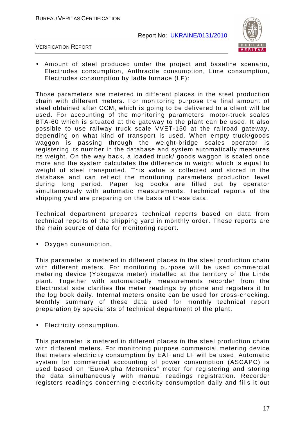

VERIFICATION REPORT

• Amount of steel produced under the project and baseline scenario, Electrodes consumption, Anthracite consumption, Lime consumption, Electrodes consumption by ladle furnace (LF):

Those parameters are metered in different places in the steel production chain with different meters. For monitoring purpose the final amount of steel obtained after CCM, which is going to be delivered to a client will be used. For accounting of the monitoring parameters, motor-truck scales BTA-60 which is situated at the gateway to the plant can be used. It also possible to use railway truck scale VVET-150 at the railroad gateway, depending on what kind of transport is used. When empty truck/goods waggon is passing through the weight-bridge scales operator is registering its number in the database and system automatically measures its weight. On the way back, a loaded truck/ goods waggon is scaled once more and the system calculates the difference in weight which is equal to weight of steel transported. This value is collected and stored in the database and can reflect the monitoring parameters production level during long period. Paper log books are filled out by operator simultaneously with automatic measurements. Technical reports of the shipping yard are preparing on the basis of these data.

Technical department prepares technical reports based on data from technical reports of the shipping yard in monthly order. These reports are the main source of data for monitoring report.

• Oxygen consumption.

This parameter is metered in different places in the steel production chain with different meters. For monitoring purpose will be used commercial metering device (Yokogawa meter) installed at the territory of the Linde plant. Together with automatically measurements recorder from the Electrostal side clarifies the meter readings by phone and registers it to the log book daily. Internal meters onsite can be used for cross-checking. Monthly summary of these data used for monthly technical report preparation by specialists of technical department of the plant.

• Electricity consumption.

This parameter is metered in different places in the steel production chain with different meters. For monitoring purpose commercial metering device that meters electricity consumption by EAF and LF will be used. Automatic system for commercial accounting of power consumption (ASCAPC) is used based on "EuroAlpha Metronics" meter for registering and storing the data simultaneously with manual readings registration. Recorder registers readings concerning electricity consumption daily and fills it out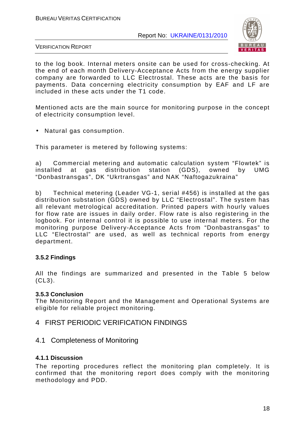

VERIFICATION REPORT

to the log book. Internal meters onsite can be used for cross-checking. At the end of each month Delivery-Acceptance Acts from the energy supplier company are forwarded to LLC Electrostal. These acts are the basis for payments. Data concerning electricity consumption by EAF and LF are included in these acts under the T1 code.

Mentioned acts are the main source for monitoring purpose in the concept of electricity consumption level.

• Natural gas consumption.

This parameter is metered by following systems:

a) Commercial metering and automatic calculation system "Flowtek" is installed at gas distribution station (GDS), owned by UMG "Donbastransgas", DK "Ukrtransgas" and NAK "Naftogazukraina"

b) Technical metering (Leader VG-1, serial #456) is installed at the gas distribution substation (GDS) owned by LLC "Electrostal". The system has all relevant metrological accreditation. Printed papers with hourly values for flow rate are issues in daily order. Flow rate is also registering in the logbook. For internal control it is possible to use internal meters. For the monitoring purpose Delivery-Acceptance Acts from "Donbastransgas" to LLC "Electrostal" are used, as well as technical reports from energy department.

#### **3.5.2 Findings**

All the findings are summarized and presented in the Table 5 below (CL3).

#### **3.5.3 Conclusion**

The Monitoring Report and the Management and Operational Systems are eligible for reliable project monitoring.

#### 4 FIRST PERIODIC VERIFICATION FINDINGS

#### 4.1 Completeness of Monitoring

#### **4.1.1 Discussion**

The reporting procedures reflect the monitoring plan completely. It is confirmed that the monitoring report does comply with the monitoring methodology and PDD.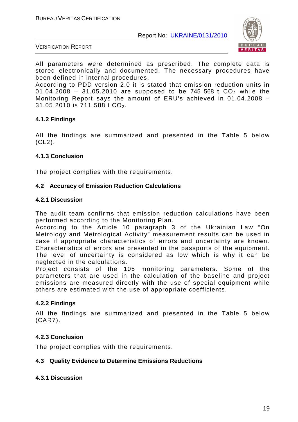

VERIFICATION REPORT

All parameters were determined as prescribed. The complete data is stored electronically and documented. The necessary procedures have been defined in internal procedures.

According to PDD version 2.0 it is stated that emission reduction units in 01.04.2008 - 31.05.2010 are supposed to be 745 568 t  $CO<sub>2</sub>$  while the Monitoring Report says the amount of ERU's achieved in 01.04.2008 – 31.05.2010 is 711 588 t  $CO<sub>2</sub>$ .

#### **4.1.2 Findings**

All the findings are summarized and presented in the Table 5 below (CL2).

#### **4.1.3 Conclusion**

The project complies with the requirements.

#### **4.2 Accuracy of Emission Reduction Calculations**

#### **4.2.1 Discussion**

The audit team confirms that emission reduction calculations have been performed according to the Monitoring Plan.

According to the Article 10 paragraph 3 of the Ukrainian Law "On Metrology and Metrological Activity" measurement results can be used in case if appropriate characteristics of errors and uncertainty are known. Characteristics of errors are presented in the passports of the equipment. The level of uncertainty is considered as low which is why it can be neglected in the calculations.

Project consists of the 105 monitoring parameters. Some of the parameters that are used in the calculation of the baseline and project emissions are measured directly with the use of special equipment while others are estimated with the use of appropriate coefficients.

#### **4.2.2 Findings**

All the findings are summarized and presented in the Table 5 below (CAR7).

#### **4.2.3 Conclusion**

The project complies with the requirements.

#### **4.3 Quality Evidence to Determine Emissions Reductions**

#### **4.3.1 Discussion**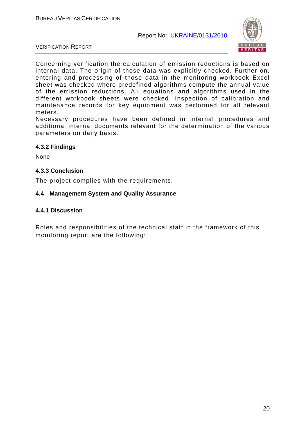

VERIFICATION REPORT

Concerning verification the calculation of emission reductions is based on internal data. The origin of those data was explicitly checked. Further on, entering and processing of those data in the monitoring workbook Excel sheet was checked where predefined algorithms compute the annual value of the emission reductions. All equations and algorithms used in the different workbook sheets were checked. Inspection of calibration and maintenance records for key equipment was performed for all relevant meters.

Necessary procedures have been defined in internal procedures and additional internal documents relevant for the determination of the various parameters on daily basis.

#### **4.3.2 Findings**

None

#### **4.3.3 Conclusion**

The project complies with the requirements.

#### **4.4 Management System and Quality Assurance**

#### **4.4.1 Discussion**

Roles and responsibilities of the technical staff in the framework of this monitoring report are the following: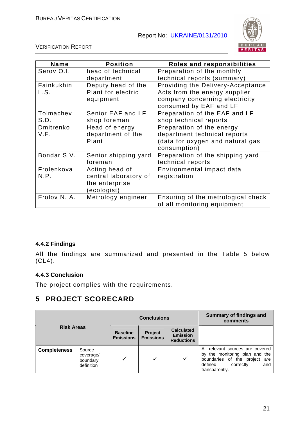

VERIFICATION REPORT

| Name         | <b>Position</b>       | Roles and responsibilities         |
|--------------|-----------------------|------------------------------------|
| Serov O.I.   | head of technical     | Preparation of the monthly         |
|              | department            | technical reports (summary)        |
| Fainkukhin   | Deputy head of the    | Providing the Delivery-Acceptance  |
| L.S.         | Plant for electric    | Acts from the energy supplier      |
|              | equipment             | company concerning electricity     |
|              |                       | consumed by EAF and LF             |
| Tolmachev    | Senior EAF and LF     | Preparation of the EAF and LF      |
| S.D.         | shop foreman          | shop technical reports             |
| Dmitrenko    | Head of energy        | Preparation of the energy          |
| V.F.         | department of the     | department technical reports       |
|              | Plant                 | (data for oxygen and natural gas   |
|              |                       | consumption)                       |
| Bondar S.V.  | Senior shipping yard  | Preparation of the shipping yard   |
|              | foreman               | technical reports                  |
| Frolenkova   | Acting head of        | Environmental impact data          |
| N.P.         | central laboratory of | registration                       |
|              | the enterprise        |                                    |
|              | (ecologist)           |                                    |
| Frolov N. A. | Metrology engineer    | Ensuring of the metrological check |
|              |                       | of all monitoring equipment        |

### **4.4.2 Findings**

All the findings are summarized and presented in the Table 5 below  $(CL4)$ .

### **4.4.3 Conclusion**

The project complies with the requirements.

# **5 PROJECT SCORECARD**

|                                                                      |  | <b>Conclusions</b>                  |                             |                                                           | Summary of findings and<br>comments                                                                                                                  |  |
|----------------------------------------------------------------------|--|-------------------------------------|-----------------------------|-----------------------------------------------------------|------------------------------------------------------------------------------------------------------------------------------------------------------|--|
| <b>Risk Areas</b>                                                    |  | <b>Baseline</b><br><b>Emissions</b> | Project<br><b>Emissions</b> | <b>Calculated</b><br><b>Emission</b><br><b>Reductions</b> |                                                                                                                                                      |  |
| <b>Completeness</b><br>Source<br>coverage/<br>boundary<br>definition |  |                                     |                             | ✓                                                         | All relevant sources are covered<br>by the monitoring plan and the<br>boundaries of the project are<br>correctly<br>defined<br>and<br>transparently. |  |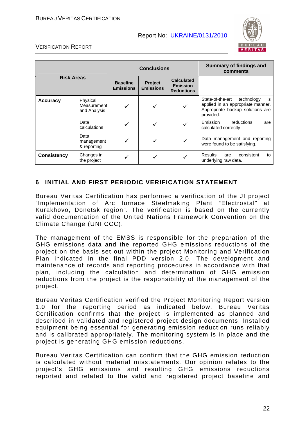

#### VERIFICATION REPORT

| <b>Risk Areas</b>    |                                         | <b>Conclusions</b>                  |                                    |                                                           | <b>Summary of findings and</b><br>comments                                                                                 |
|----------------------|-----------------------------------------|-------------------------------------|------------------------------------|-----------------------------------------------------------|----------------------------------------------------------------------------------------------------------------------------|
|                      |                                         | <b>Baseline</b><br><b>Emissions</b> | <b>Project</b><br><b>Emissions</b> | <b>Calculated</b><br><b>Emission</b><br><b>Reductions</b> |                                                                                                                            |
| <b>Accuracy</b>      | Physical<br>Measurement<br>and Analysis | ✓                                   |                                    |                                                           | State-of-the-art<br>is<br>technology<br>applied in an appropriate manner.<br>Appropriate backup solutions are<br>provided. |
| Data<br>calculations |                                         |                                     |                                    |                                                           | Emission<br>reductions<br>are<br>calculated correctly                                                                      |
|                      | Data<br>management<br>& reporting       | ✓                                   |                                    |                                                           | Data management and reporting<br>were found to be satisfying.                                                              |
| <b>Consistency</b>   | Changes in<br>the project               |                                     |                                    |                                                           | <b>Results</b><br>consistent<br>to<br>are<br>underlying raw data.                                                          |

#### **6 INITIAL AND FIRST PERIODIC VERIFICATION STATEMENT**

Bureau Veritas Certification has performed a verification of the JI project "Implementation of Arc furnace Steelmaking Plant "Electrostal" at Kurakhovo, Donetsk region". The verification is based on the currently valid documentation of the United Nations Framework Convention on the Climate Change (UNFCCC).

The management of the EMSS is responsible for the preparation of the GHG emissions data and the reported GHG emissions reductions of the project on the basis set out within the project Monitoring and Verification Plan indicated in the final PDD version 2.0. The development and maintenance of records and reporting procedures in accordance with that plan, including the calculation and determination of GHG emission reductions from the project is the responsibility of the management of the project.

Bureau Veritas Certification verified the Project Monitoring Report version 1.0 for the reporting period as indicated below. Bureau Veritas Certification confirms that the project is implemented as planned and described in validated and registered project design documents. Installed equipment being essential for generating emission reduction runs reliably and is calibrated appropriately. The monitoring system is in place and the project is generating GHG emission reductions.

Bureau Veritas Certification can confirm that the GHG emission reduction is calculated without material misstatements. Our opinion relates to the project's GHG emissions and resulting GHG emissions reductions reported and related to the valid and registered project baseline and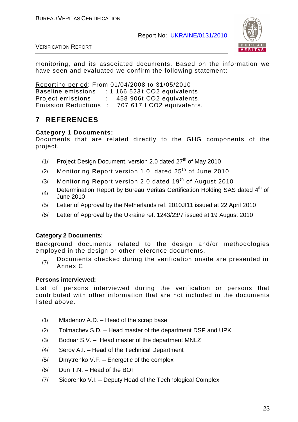

VERIFICATION REPORT

monitoring, and its associated documents. Based on the information we have seen and evaluated we confirm the following statement:

Reporting period: From 01/04/2008 to 31/05/2010 Baseline emissions : 1 166 523t CO2 equivalents. Project emissions : 458 906t CO2 equivalents. Emission Reductions : 707 617 t CO2 equivalents.

# **7 REFERENCES**

#### **Category 1 Documents:**

Documents that are related directly to the GHG components of the project.

- $/1/$  Project Design Document, version 2.0 dated  $27<sup>th</sup>$  of May 2010
- $\frac{2}{12}$  Monitoring Report version 1.0, dated 25<sup>th</sup> of June 2010
- $/3/$  Monitoring Report version 2.0 dated 19<sup>th</sup> of August 2010
- $/4/$  Determination Report by Bureau Veritas Certification Holding SAS dated  $4<sup>th</sup>$  of June 2010
- /5/ Letter of Approval by the Netherlands ref. 2010JI11 issued at 22 April 2010
- /6/ Letter of Approval by the Ukraine ref. 1243/23/7 issued at 19 August 2010

#### **Category 2 Documents:**

Background documents related to the design and/or methodologies employed in the design or other reference documents.

 $_{17/}$  Documents checked during the verification onsite are presented in Annex C

#### **Persons interviewed:**

List of persons interviewed during the verification or persons that contributed with other information that are not included in the documents listed above.

- /1/ Mladenov A.D. Head of the scrap base
- /2/ Tolmachev S.D. Head master of the department DSP and UPK
- /3/ Bodnar S.V. Head master of the department MNLZ
- /4/ Serov A.I. Head of the Technical Department
- /5/ Dmytrenko V.F. Energetic of the complex
- /6/ Dun T.N. Head of the BOT
- /7/ Sidorenko V.I. Deputy Head of the Technological Complex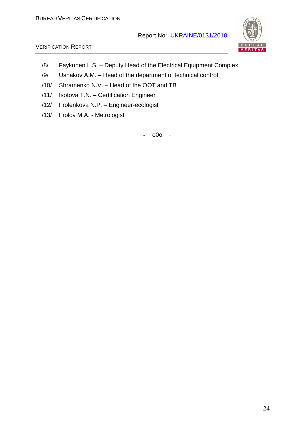

#### VERIFICATION REPORT

- /8/ Faykuhen L.S. Deputy Head of the Electrical Equipment Complex
- /9/ Ushakov A.M. Head of the department of technical control
- /10/ Shramenko N.V. Head of the OOT and TB
- /11/ Isotova T.N. Certification Engineer
- /12/ Frolenkova N.P. Engineer-ecologist
- /13/ Frolov M.A. Metrologist

- o0o -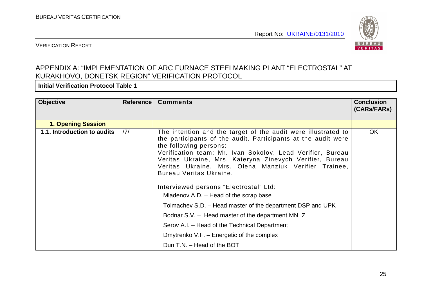

#### VERIFICATION REPORT

# APPENDIX A: "IMPLEMENTATION OF ARC FURNACE STEELMAKING PLANT "ELECTROSTAL" AT KURAKHOVO, DONETSK REGION" VERIFICATION PROTOCOL

**Initial Verification Protocol Table 1** 

| <b>Objective</b>            | Reference | <b>Comments</b>                                                                                                                                                                                                                                                                                                                                                                                                                                                                                                                                                                                                                                                                                          | <b>Conclusion</b><br>(CARs/FARs) |
|-----------------------------|-----------|----------------------------------------------------------------------------------------------------------------------------------------------------------------------------------------------------------------------------------------------------------------------------------------------------------------------------------------------------------------------------------------------------------------------------------------------------------------------------------------------------------------------------------------------------------------------------------------------------------------------------------------------------------------------------------------------------------|----------------------------------|
| <b>1. Opening Session</b>   |           |                                                                                                                                                                                                                                                                                                                                                                                                                                                                                                                                                                                                                                                                                                          |                                  |
| 1.1. Introduction to audits | 7         | The intention and the target of the audit were illustrated to<br>the participants of the audit. Participants at the audit were<br>the following persons:<br>Verification team: Mr. Ivan Sokolov, Lead Verifier, Bureau<br>Veritas Ukraine, Mrs. Kateryna Zinevych Verifier, Bureau<br>Veritas Ukraine, Mrs. Olena Manziuk Verifier Trainee,<br>Bureau Veritas Ukraine.<br>Interviewed persons "Electrostal" Ltd:<br>Mladenov A.D. – Head of the scrap base<br>Tolmachev S.D. – Head master of the department DSP and UPK<br>Bodnar S.V. - Head master of the department MNLZ<br>Serov A.I. – Head of the Technical Department<br>Dmytrenko V.F. – Energetic of the complex<br>Dun T.N. - Head of the BOT | <b>OK</b>                        |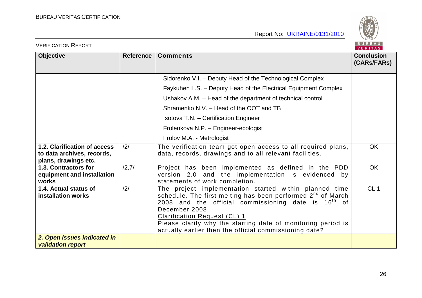

| <b>VERIFICATION REPORT</b>                                                         |                |                                                                                                                                                                                                                                                                                                                                                                        | BUREAU<br>VERITAS                |
|------------------------------------------------------------------------------------|----------------|------------------------------------------------------------------------------------------------------------------------------------------------------------------------------------------------------------------------------------------------------------------------------------------------------------------------------------------------------------------------|----------------------------------|
| <b>Objective</b>                                                                   | Reference      | <b>Comments</b>                                                                                                                                                                                                                                                                                                                                                        | <b>Conclusion</b><br>(CARs/FARs) |
|                                                                                    |                | Sidorenko V.I. - Deputy Head of the Technological Complex                                                                                                                                                                                                                                                                                                              |                                  |
|                                                                                    |                | Faykuhen L.S. - Deputy Head of the Electrical Equipment Complex                                                                                                                                                                                                                                                                                                        |                                  |
|                                                                                    |                | Ushakov A.M. - Head of the department of technical control                                                                                                                                                                                                                                                                                                             |                                  |
|                                                                                    |                | Shramenko N.V. - Head of the OOT and TB                                                                                                                                                                                                                                                                                                                                |                                  |
|                                                                                    |                | Isotova T.N. - Certification Engineer                                                                                                                                                                                                                                                                                                                                  |                                  |
|                                                                                    |                | Frolenkova N.P. - Engineer-ecologist                                                                                                                                                                                                                                                                                                                                   |                                  |
|                                                                                    |                | Frolov M.A. - Metrologist                                                                                                                                                                                                                                                                                                                                              |                                  |
| 1.2. Clarification of access<br>to data archives, records,<br>plans, drawings etc. | $\frac{12}{1}$ | The verification team got open access to all required plans,<br>data, records, drawings and to all relevant facilities.                                                                                                                                                                                                                                                | <b>OK</b>                        |
| 1.3. Contractors for<br>equipment and installation<br>works                        | /2,7/          | Project has been implemented as defined in the PDD<br>version 2.0 and the implementation is evidenced by<br>statements of work completion.                                                                                                                                                                                                                             | <b>OK</b>                        |
| 1.4. Actual status of<br>installation works                                        | /2/            | The project implementation started within planned time<br>schedule. The first melting has been performed 2 <sup>nd</sup> of March<br>2008 and the official commissioning date is $16th$ of<br>December 2008.<br>Clarification Request (CL) 1<br>Please clarify why the starting date of monitoring period is<br>actually earlier then the official commissioning date? | CL <sub>1</sub>                  |
| 2. Open issues indicated in<br><b>validation report</b>                            |                |                                                                                                                                                                                                                                                                                                                                                                        |                                  |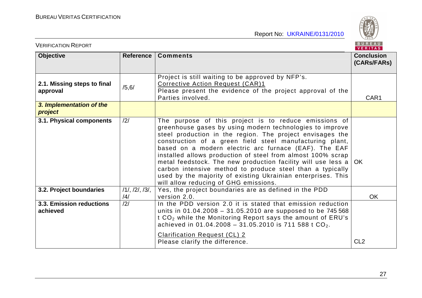BUREAU

| <b>VERIFICATION REPORT</b>              |                      |                                                                                                                                                                                                                                                                                                                                                                                                                                                                                                                                                                                                          | BUREAU<br>VERITAS                |
|-----------------------------------------|----------------------|----------------------------------------------------------------------------------------------------------------------------------------------------------------------------------------------------------------------------------------------------------------------------------------------------------------------------------------------------------------------------------------------------------------------------------------------------------------------------------------------------------------------------------------------------------------------------------------------------------|----------------------------------|
| <b>Objective</b>                        | Reference            | <b>Comments</b>                                                                                                                                                                                                                                                                                                                                                                                                                                                                                                                                                                                          | <b>Conclusion</b><br>(CARs/FARs) |
| 2.1. Missing steps to final<br>approval | /5, 6/               | Project is still waiting to be approved by NFP's.<br>Corrective Action Request (CAR)1<br>Please present the evidence of the project approval of the<br>Parties involved.                                                                                                                                                                                                                                                                                                                                                                                                                                 | CAR1                             |
| 3. Implementation of the<br>project     |                      |                                                                                                                                                                                                                                                                                                                                                                                                                                                                                                                                                                                                          |                                  |
| 3.1. Physical components                | /2/                  | The purpose of this project is to reduce emissions of<br>greenhouse gases by using modern technologies to improve<br>steel production in the region. The project envisages the<br>construction of a green field steel manufacturing plant,<br>based on a modern electric arc furnace (EAF). The EAF<br>installed allows production of steel from almost 100% scrap<br>metal feedstock. The new production facility will use less a<br>carbon intensive method to produce steel than a typically<br>used by the majority of existing Ukrainian enterprises. This<br>will allow reducing of GHG emissions. | OK.                              |
| 3.2. Project boundaries                 | 11, 121, 131,<br>/4/ | Yes, the project boundaries are as defined in the PDD<br>version 2.0.                                                                                                                                                                                                                                                                                                                                                                                                                                                                                                                                    | <b>OK</b>                        |
| 3.3. Emission reductions<br>achieved    | /2/                  | In the PDD version 2.0 it is stated that emission reduction<br>units in 01.04.2008 - 31.05.2010 are supposed to be 745 568<br>t CO <sub>2</sub> while the Monitoring Report says the amount of ERU's<br>achieved in 01.04.2008 - 31.05.2010 is 711 588 t $CO_2$ .<br><b>Clarification Request (CL) 2</b><br>Please clarify the difference.                                                                                                                                                                                                                                                               | CL <sub>2</sub>                  |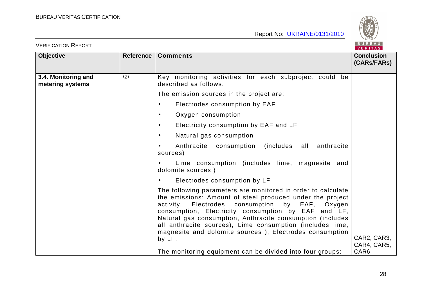

| <b>VERIFICATION REPORT</b>              |                  |                                                                                                                                                                                                                                                                                                                                                                                                                                              | BUREAU<br>VERITAS                |
|-----------------------------------------|------------------|----------------------------------------------------------------------------------------------------------------------------------------------------------------------------------------------------------------------------------------------------------------------------------------------------------------------------------------------------------------------------------------------------------------------------------------------|----------------------------------|
| <b>Objective</b>                        | <b>Reference</b> | <b>Comments</b>                                                                                                                                                                                                                                                                                                                                                                                                                              | <b>Conclusion</b><br>(CARS/FARS) |
| 3.4. Monitoring and<br>metering systems | /2/              | Key monitoring activities for each subproject could<br>be<br>described as follows.                                                                                                                                                                                                                                                                                                                                                           |                                  |
|                                         |                  | The emission sources in the project are:                                                                                                                                                                                                                                                                                                                                                                                                     |                                  |
|                                         |                  | Electrodes consumption by EAF<br>$\bullet$                                                                                                                                                                                                                                                                                                                                                                                                   |                                  |
|                                         |                  | Oxygen consumption<br>$\bullet$                                                                                                                                                                                                                                                                                                                                                                                                              |                                  |
|                                         |                  | Electricity consumption by EAF and LF<br>$\bullet$                                                                                                                                                                                                                                                                                                                                                                                           |                                  |
|                                         |                  | Natural gas consumption<br>$\bullet$                                                                                                                                                                                                                                                                                                                                                                                                         |                                  |
|                                         |                  | (includes all anthracite<br>Anthracite consumption<br>$\bullet$<br>sources)                                                                                                                                                                                                                                                                                                                                                                  |                                  |
|                                         |                  | Lime consumption (includes lime, magnesite and<br>$\bullet$<br>dolomite sources)                                                                                                                                                                                                                                                                                                                                                             |                                  |
|                                         |                  | Electrodes consumption by LF<br>$\bullet$                                                                                                                                                                                                                                                                                                                                                                                                    |                                  |
|                                         |                  | The following parameters are monitored in order to calculate<br>the emissions: Amount of steel produced under the project<br>Electrodes consumption<br>by EAF,<br>activity,<br>Oxygen<br>consumption, Electricity consumption by EAF and LF,<br>Natural gas consumption, Anthracite consumption (includes<br>all anthracite sources), Lime consumption (includes lime,<br>magnesite and dolomite sources ), Electrodes consumption<br>by LF. | CAR2, CAR3,<br>CAR4, CAR5,       |
|                                         |                  | The monitoring equipment can be divided into four groups:                                                                                                                                                                                                                                                                                                                                                                                    | CAR <sub>6</sub>                 |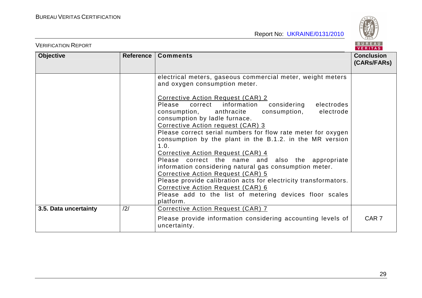

| <b>VERIFICATION REPORT</b> |           |                                                                                                                                                                                                                                                                                                                                                                                                                                                                                                                                                                                                                                                                                                                                                                                                                                                | BUREAU<br>VERITAS                |
|----------------------------|-----------|------------------------------------------------------------------------------------------------------------------------------------------------------------------------------------------------------------------------------------------------------------------------------------------------------------------------------------------------------------------------------------------------------------------------------------------------------------------------------------------------------------------------------------------------------------------------------------------------------------------------------------------------------------------------------------------------------------------------------------------------------------------------------------------------------------------------------------------------|----------------------------------|
| <b>Objective</b>           | Reference | <b>Comments</b>                                                                                                                                                                                                                                                                                                                                                                                                                                                                                                                                                                                                                                                                                                                                                                                                                                | <b>Conclusion</b><br>(CARs/FARs) |
|                            |           | electrical meters, gaseous commercial meter, weight meters<br>and oxygen consumption meter.<br>Corrective Action Request (CAR) 2<br>Please<br>information<br>considering<br>correct<br>electrodes<br>consumption,<br>consumption,<br>anthracite<br>electrode<br>consumption by ladle furnace.<br>Corrective Action request (CAR) 3<br>Please correct serial numbers for flow rate meter for oxygen<br>consumption by the plant in the B.1.2. in the MR version<br>1.0.<br>Corrective Action Request (CAR) 4<br>Please correct the name and also the appropriate<br>information considering natural gas consumption meter.<br>Corrective Action Request (CAR) 5<br>Please provide calibration acts for electricity transformators.<br>Corrective Action Request (CAR) 6<br>Please add to the list of metering devices floor scales<br>platform. |                                  |
| 3.5. Data uncertainty      | /2/       | Corrective Action Request (CAR) 7<br>Please provide information considering accounting levels of<br>uncertainty.                                                                                                                                                                                                                                                                                                                                                                                                                                                                                                                                                                                                                                                                                                                               | CAR <sub>7</sub>                 |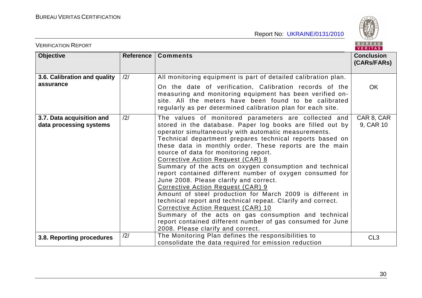BUREAU

| <b>VERIFICATION REPORT</b>                           |           |                                                                                                                                                                                                                                                                                                                                                                                                                                                                                                                                                                                                                                                                                                                                                                                                                                                                                                                   |                                  |
|------------------------------------------------------|-----------|-------------------------------------------------------------------------------------------------------------------------------------------------------------------------------------------------------------------------------------------------------------------------------------------------------------------------------------------------------------------------------------------------------------------------------------------------------------------------------------------------------------------------------------------------------------------------------------------------------------------------------------------------------------------------------------------------------------------------------------------------------------------------------------------------------------------------------------------------------------------------------------------------------------------|----------------------------------|
| <b>Objective</b>                                     | Reference | <b>Comments</b>                                                                                                                                                                                                                                                                                                                                                                                                                                                                                                                                                                                                                                                                                                                                                                                                                                                                                                   | <b>Conclusion</b><br>(CARs/FARs) |
| 3.6. Calibration and quality                         | /2/       | All monitoring equipment is part of detailed calibration plan.                                                                                                                                                                                                                                                                                                                                                                                                                                                                                                                                                                                                                                                                                                                                                                                                                                                    |                                  |
| assurance                                            |           | On the date of verification, Calibration records of the<br>measuring and monitoring equipment has been verified on-<br>site. All the meters have been found to be calibrated<br>regularly as per determined calibration plan for each site.                                                                                                                                                                                                                                                                                                                                                                                                                                                                                                                                                                                                                                                                       | <b>OK</b>                        |
| 3.7. Data acquisition and<br>data processing systems | /2/       | The values of monitored parameters are collected and<br>stored in the database. Paper log books are filled out by<br>operator simultaneously with automatic measurements.<br>Technical department prepares technical reports based on<br>these data in monthly order. These reports are the main<br>source of data for monitoring report.<br>Corrective Action Request (CAR) 8<br>Summary of the acts on oxygen consumption and technical<br>report contained different number of oxygen consumed for<br>June 2008. Please clarify and correct.<br>Corrective Action Request (CAR) 9<br>Amount of steel production for March 2009 is different in<br>technical report and technical repeat. Clarify and correct.<br>Corrective Action Request (CAR) 10<br>Summary of the acts on gas consumption and technical<br>report contained different number of gas consumed for June<br>2008. Please clarify and correct. | CAR 8, CAR<br>9, CAR 10          |
| 3.8. Reporting procedures                            | /2/       | The Monitoring Plan defines the responsibilities to<br>consolidate the data required for emission reduction                                                                                                                                                                                                                                                                                                                                                                                                                                                                                                                                                                                                                                                                                                                                                                                                       | CL <sub>3</sub>                  |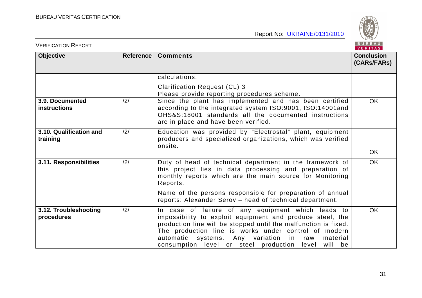

| BUREAU<br><b>VERIFICATION REPORT</b><br><b>VERITAS</b> |                |                                                                                                                                                                                                                                                                                                                                                                      |                                  |  |
|--------------------------------------------------------|----------------|----------------------------------------------------------------------------------------------------------------------------------------------------------------------------------------------------------------------------------------------------------------------------------------------------------------------------------------------------------------------|----------------------------------|--|
| <b>Objective</b>                                       | Reference      | <b>Comments</b>                                                                                                                                                                                                                                                                                                                                                      | <b>Conclusion</b><br>(CARs/FARs) |  |
|                                                        |                | calculations.                                                                                                                                                                                                                                                                                                                                                        |                                  |  |
|                                                        |                | <b>Clarification Request (CL) 3</b><br>Please provide reporting procedures scheme.                                                                                                                                                                                                                                                                                   |                                  |  |
| 3.9. Documented<br><b>instructions</b>                 | $\frac{12}{1}$ | Since the plant has implemented and has been certified<br>according to the integrated system ISO:9001, ISO:14001and<br>OHS&S:18001 standards all the documented instructions<br>are in place and have been verified.                                                                                                                                                 | <b>OK</b>                        |  |
| 3.10. Qualification and<br>training                    | /2/            | Education was provided by "Electrostal" plant, equipment<br>producers and specialized organizations, which was verified<br>onsite.                                                                                                                                                                                                                                   | <b>OK</b>                        |  |
|                                                        |                |                                                                                                                                                                                                                                                                                                                                                                      |                                  |  |
| 3.11. Responsibilities                                 | /2/            | Duty of head of technical department in the framework of<br>this project lies in data processing and preparation of<br>monthly reports which are the main source for Monitoring<br>Reports.                                                                                                                                                                          | <b>OK</b>                        |  |
|                                                        |                | Name of the persons responsible for preparation of annual<br>reports: Alexander Serov - head of technical department.                                                                                                                                                                                                                                                |                                  |  |
| 3.12. Troubleshooting<br>procedures                    | /2/            | In case of failure of any equipment which leads to<br>impossibility to exploit equipment and produce steel, the<br>production line will be stopped until the malfunction is fixed.<br>The production line is works under control of modern<br>automatic systems. Any variation<br>in in<br>material<br>raw<br>consumption level or steel production level<br>will be | OK                               |  |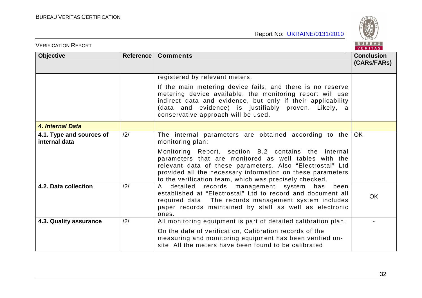

| <b>VERIFICATION REPORT</b>                |     |                                                                                                                                                                                                                                                                                                                                                                                      |                                  |
|-------------------------------------------|-----|--------------------------------------------------------------------------------------------------------------------------------------------------------------------------------------------------------------------------------------------------------------------------------------------------------------------------------------------------------------------------------------|----------------------------------|
| Objective<br>Reference                    |     | <b>Comments</b>                                                                                                                                                                                                                                                                                                                                                                      | <b>Conclusion</b><br>(CARs/FARs) |
|                                           |     | registered by relevant meters.<br>If the main metering device fails, and there is no reserve<br>metering device available, the monitoring report will use<br>indirect data and evidence, but only if their applicability<br>(data and evidence) is justifiably proven. Likely, a<br>conservative approach will be used.                                                              |                                  |
| 4. Internal Data                          |     |                                                                                                                                                                                                                                                                                                                                                                                      |                                  |
| 4.1. Type and sources of<br>internal data | /2/ | The internal parameters are obtained according to the $OK$<br>monitoring plan:<br>Monitoring Report, section B.2 contains the internal<br>parameters that are monitored as well tables with the<br>relevant data of these parameters. Also "Electrostal" Ltd<br>provided all the necessary information on these parameters<br>to the verification team, which was precisely checked. |                                  |
| 4.2. Data collection                      | /2/ | records management system<br>$\mathsf{A}$<br>detailed<br>has<br>been<br>established at "Electrostal" Ltd to record and document all<br>required data. The records management system includes<br>paper records maintained by staff as well as electronic<br>ones.                                                                                                                     | <b>OK</b>                        |
| 4.3. Quality assurance                    | /2/ | All monitoring equipment is part of detailed calibration plan.<br>On the date of verification, Calibration records of the<br>measuring and monitoring equipment has been verified on-<br>site. All the meters have been found to be calibrated                                                                                                                                       |                                  |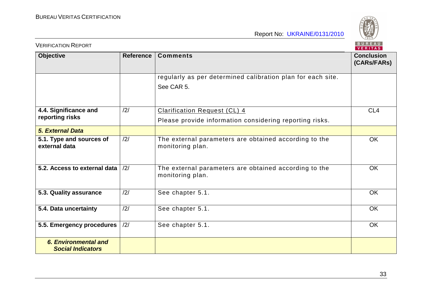

| <b>VERIFICATION REPORT</b>                              |                  |                                                                           | BUREAU<br>VERITAS                |
|---------------------------------------------------------|------------------|---------------------------------------------------------------------------|----------------------------------|
| <b>Objective</b>                                        | <b>Reference</b> | <b>Comments</b>                                                           | <b>Conclusion</b><br>(CARs/FARs) |
|                                                         |                  | regularly as per determined calibration plan for each site.<br>See CAR 5. |                                  |
| 4.4. Significance and                                   | /2/              | <b>Clarification Request (CL) 4</b>                                       | CL <sub>4</sub>                  |
| reporting risks                                         |                  | Please provide information considering reporting risks.                   |                                  |
| <b>5. External Data</b>                                 |                  |                                                                           |                                  |
| 5.1. Type and sources of<br>external data               | /2/              | The external parameters are obtained according to the<br>monitoring plan. | <b>OK</b>                        |
| 5.2. Access to external data                            | $\frac{12}{1}$   | The external parameters are obtained according to the<br>monitoring plan. | <b>OK</b>                        |
| 5.3. Quality assurance                                  | /2/              | See chapter 5.1.                                                          | <b>OK</b>                        |
| 5.4. Data uncertainty                                   | /2/              | See chapter 5.1.                                                          | <b>OK</b>                        |
| 5.5. Emergency procedures                               | /2/              | See chapter 5.1.                                                          | <b>OK</b>                        |
| <b>6. Environmental and</b><br><b>Social Indicators</b> |                  |                                                                           |                                  |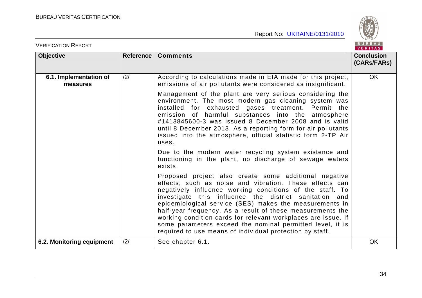

| <b>VERIFICATION REPORT</b>         |           |                                                                                                                                                                                                                                                                                                                                                                                                                                                                                                                                                                                                                                                                                                                                                                                                                                                                                                                                             |                                  |  |
|------------------------------------|-----------|---------------------------------------------------------------------------------------------------------------------------------------------------------------------------------------------------------------------------------------------------------------------------------------------------------------------------------------------------------------------------------------------------------------------------------------------------------------------------------------------------------------------------------------------------------------------------------------------------------------------------------------------------------------------------------------------------------------------------------------------------------------------------------------------------------------------------------------------------------------------------------------------------------------------------------------------|----------------------------------|--|
| <b>Objective</b>                   | Reference | <b>Comments</b>                                                                                                                                                                                                                                                                                                                                                                                                                                                                                                                                                                                                                                                                                                                                                                                                                                                                                                                             | <b>Conclusion</b><br>(CARs/FARs) |  |
| 6.1. Implementation of<br>measures | /2/       | According to calculations made in EIA made for this project,<br>emissions of air pollutants were considered as insignificant.<br>Management of the plant are very serious considering the<br>environment. The most modern gas cleaning system was<br>installed for exhausted gases treatment. Permit the<br>emission of harmful substances into the atmosphere<br>#1413845600-3 was issued 8 December 2008 and is valid<br>until 8 December 2013. As a reporting form for air pollutants<br>issued into the atmosphere, official statistic form 2-TP Air<br>uses.<br>Due to the modern water recycling system existence and<br>functioning in the plant, no discharge of sewage waters<br>exists.<br>Proposed project also create some additional negative<br>effects, such as noise and vibration. These effects can<br>negatively influence working conditions of the staff. To<br>investigate this influence the district sanitation and | <b>OK</b>                        |  |
|                                    |           | epidemiological service (SES) makes the measurements in<br>half-year frequency. As a result of these measurements the<br>working condition cards for relevant workplaces are issue. If<br>some parameters exceed the nominal permitted level, it is<br>required to use means of individual protection by staff.                                                                                                                                                                                                                                                                                                                                                                                                                                                                                                                                                                                                                             |                                  |  |
| 6.2. Monitoring equipment          | /2/       | See chapter 6.1.                                                                                                                                                                                                                                                                                                                                                                                                                                                                                                                                                                                                                                                                                                                                                                                                                                                                                                                            | <b>OK</b>                        |  |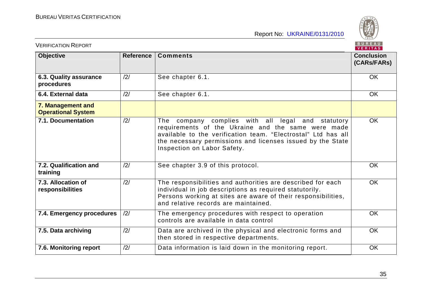

| BUREAU<br><b>VERIFICATION REPORT</b><br>VERITAS |                  |                                                                                                                                                                                                                                                                       |                                  |  |
|-------------------------------------------------|------------------|-----------------------------------------------------------------------------------------------------------------------------------------------------------------------------------------------------------------------------------------------------------------------|----------------------------------|--|
| <b>Objective</b>                                | <b>Reference</b> | <b>Comments</b>                                                                                                                                                                                                                                                       | <b>Conclusion</b><br>(CARs/FARs) |  |
| 6.3. Quality assurance<br>procedures            | /2/              | See chapter 6.1.                                                                                                                                                                                                                                                      | <b>OK</b>                        |  |
| 6.4. External data                              | /2/              | See chapter 6.1.                                                                                                                                                                                                                                                      | <b>OK</b>                        |  |
| 7. Management and<br><b>Operational System</b>  |                  |                                                                                                                                                                                                                                                                       |                                  |  |
| 7.1. Documentation                              | $\frac{12}{1}$   | The company complies with all legal and statutory<br>requirements of the Ukraine and the same were made<br>available to the verification team. "Electrostal" Ltd has all<br>the necessary permissions and licenses issued by the State<br>Inspection on Labor Safety. | <b>OK</b>                        |  |
| 7.2. Qualification and<br>training              | /2/              | See chapter 3.9 of this protocol.                                                                                                                                                                                                                                     | <b>OK</b>                        |  |
| 7.3. Allocation of<br>responsibilities          | /2/              | The responsibilities and authorities are described for each<br>individual in job descriptions as required statutorily.<br>Persons working at sites are aware of their responsibilities,<br>and relative records are maintained.                                       | <b>OK</b>                        |  |
| 7.4. Emergency procedures                       | /2/              | The emergency procedures with respect to operation<br>controls are available in data control                                                                                                                                                                          | <b>OK</b>                        |  |
| 7.5. Data archiving                             | /2/              | Data are archived in the physical and electronic forms and<br>then stored in respective departments.                                                                                                                                                                  | <b>OK</b>                        |  |
| 7.6. Monitoring report                          | /2/              | Data information is laid down in the monitoring report.                                                                                                                                                                                                               | <b>OK</b>                        |  |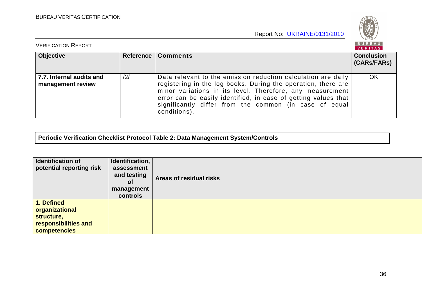

| <b>VERIFICATION REPORT</b>                    |     |                                                                                                                                                                                                                                                                                                                                         |                                  |  |
|-----------------------------------------------|-----|-----------------------------------------------------------------------------------------------------------------------------------------------------------------------------------------------------------------------------------------------------------------------------------------------------------------------------------------|----------------------------------|--|
| <b>Objective</b>                              |     | Reference   Comments                                                                                                                                                                                                                                                                                                                    | <b>Conclusion</b><br>(CARs/FARs) |  |
| 7.7. Internal audits and<br>management review | /2/ | Data relevant to the emission reduction calculation are daily<br>registering in the log books. During the operation, there are<br>minor variations in its level. Therefore, any measurement<br>error can be easily identified, in case of getting values that<br>significantly differ from the common (in case of equal<br>conditions). | OK                               |  |

**Periodic Verification Checklist Protocol Table 2: Data Management System/Controls** 

| <b>Identification of</b><br>potential reporting risk                               | Identification,<br>assessment<br>and testing<br><b>of</b><br>management<br>controls | Areas of residual risks |
|------------------------------------------------------------------------------------|-------------------------------------------------------------------------------------|-------------------------|
| 1. Defined<br>organizational<br>structure,<br>responsibilities and<br>competencies |                                                                                     |                         |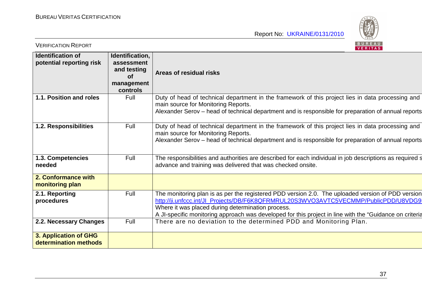

| <b>VERIFICATION REPORT</b>                           |                                                                                     | BUREAU<br>VERITAS                                                                                                                                                                                                                                                                                                                                         |
|------------------------------------------------------|-------------------------------------------------------------------------------------|-----------------------------------------------------------------------------------------------------------------------------------------------------------------------------------------------------------------------------------------------------------------------------------------------------------------------------------------------------------|
| <b>Identification of</b><br>potential reporting risk | Identification,<br>assessment<br>and testing<br><b>of</b><br>management<br>controls | Areas of residual risks                                                                                                                                                                                                                                                                                                                                   |
| 1.1. Position and roles                              | Full                                                                                | Duty of head of technical department in the framework of this project lies in data processing and<br>main source for Monitoring Reports.<br>Alexander Serov – head of technical department and is responsible for preparation of annual reports                                                                                                           |
| 1.2. Responsibilities                                | Full                                                                                | Duty of head of technical department in the framework of this project lies in data processing and<br>main source for Monitoring Reports.<br>Alexander Serov - head of technical department and is responsible for preparation of annual reports                                                                                                           |
| 1.3. Competencies<br>needed                          | Full                                                                                | The responsibilities and authorities are described for each individual in job descriptions as required s<br>advance and training was delivered that was checked onsite.                                                                                                                                                                                   |
| 2. Conformance with<br>monitoring plan               |                                                                                     |                                                                                                                                                                                                                                                                                                                                                           |
| 2.1. Reporting<br>procedures                         | Full                                                                                | The monitoring plan is as per the registered PDD version 2.0. The uploaded version of PDD version<br>http://ji.unfccc.int/Jl_Projects/DB/F6K8QFRMRUL20S3WVO3AVTC5VECMMP/PublicPDD/U8VDG9<br>Where it was placed during determination process.<br>A JI-specific monitoring approach was developed for this project in line with the "Guidance on criteria" |
| 2.2. Necessary Changes                               | Full                                                                                | There are no deviation to the determined PDD and Monitoring Plan.                                                                                                                                                                                                                                                                                         |
| 3. Application of GHG<br>determination methods       |                                                                                     |                                                                                                                                                                                                                                                                                                                                                           |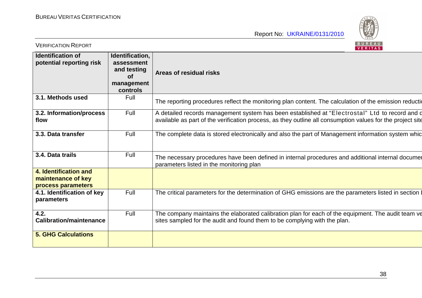

| <b>VERIFICATION REPORT</b>                                        |                                                                                     | BUREAU<br>VERITAS                                                                                                                                                                                            |
|-------------------------------------------------------------------|-------------------------------------------------------------------------------------|--------------------------------------------------------------------------------------------------------------------------------------------------------------------------------------------------------------|
| <b>Identification of</b><br>potential reporting risk              | Identification,<br>assessment<br>and testing<br><b>of</b><br>management<br>controls | Areas of residual risks                                                                                                                                                                                      |
| 3.1. Methods used                                                 | Full                                                                                | The reporting procedures reflect the monitoring plan content. The calculation of the emission reduction                                                                                                      |
| 3.2. Information/process<br>flow                                  | Full                                                                                | A detailed records management system has been established at "Electrostal" Ltd to record and d<br>available as part of the verification process, as they outline all consumption values for the project site |
| 3.3. Data transfer                                                | Full                                                                                | The complete data is stored electronically and also the part of Management information system whic                                                                                                           |
| 3.4. Data trails                                                  | Full                                                                                | The necessary procedures have been defined in internal procedures and additional internal documer<br>parameters listed in the monitoring plan                                                                |
| 4. Identification and<br>maintenance of key<br>process parameters |                                                                                     |                                                                                                                                                                                                              |
| 4.1. Identification of key<br>parameters                          | Full                                                                                | The critical parameters for the determination of GHG emissions are the parameters listed in section I                                                                                                        |
| 4.2.<br><b>Calibration/maintenance</b>                            | Full                                                                                | The company maintains the elaborated calibration plan for each of the equipment. The audit team ve<br>sites sampled for the audit and found them to be complying with the plan.                              |
| <b>5. GHG Calculations</b>                                        |                                                                                     |                                                                                                                                                                                                              |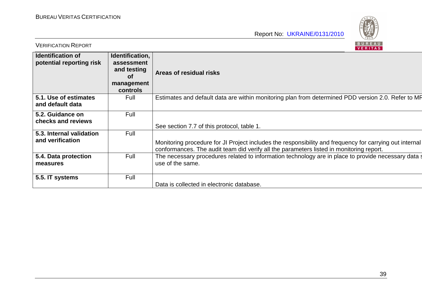

| <b>VERIFICATION REPORT</b>                           |                                                                                     | BUREAU<br>VERITAS                                                                                                                                                                                  |
|------------------------------------------------------|-------------------------------------------------------------------------------------|----------------------------------------------------------------------------------------------------------------------------------------------------------------------------------------------------|
| <b>Identification of</b><br>potential reporting risk | Identification,<br>assessment<br>and testing<br><b>of</b><br>management<br>controls | Areas of residual risks                                                                                                                                                                            |
| 5.1. Use of estimates<br>and default data            | Full                                                                                | Estimates and default data are within monitoring plan from determined PDD version 2.0. Refer to MR                                                                                                 |
| 5.2. Guidance on<br>checks and reviews               | Full                                                                                | See section 7.7 of this protocol, table 1.                                                                                                                                                         |
| 5.3. Internal validation<br>and verification         | Full                                                                                | Monitoring procedure for JI Project includes the responsibility and frequency for carrying out internal<br>conformances. The audit team did verify all the parameters listed in monitoring report. |
| 5.4. Data protection<br>measures                     | Full                                                                                | The necessary procedures related to information technology are in place to provide necessary data s<br>use of the same.                                                                            |
| 5.5. IT systems                                      | Full                                                                                | Data is collected in electronic database.                                                                                                                                                          |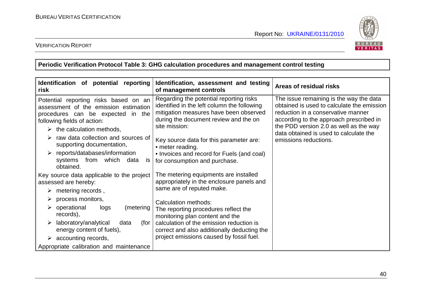

### VERIFICATION REPORT

**Periodic Verification Protocol Table 3: GHG calculation procedures and management control testing** 

| Identification of potential reporting<br>risk                                                                                                                                                                                                                                                                                                                      | Identification, assessment and testing<br>of management controls                                                                                                                                                                                                                                                                                          | Areas of residual risks                                                                                                                                                                                                                                                             |
|--------------------------------------------------------------------------------------------------------------------------------------------------------------------------------------------------------------------------------------------------------------------------------------------------------------------------------------------------------------------|-----------------------------------------------------------------------------------------------------------------------------------------------------------------------------------------------------------------------------------------------------------------------------------------------------------------------------------------------------------|-------------------------------------------------------------------------------------------------------------------------------------------------------------------------------------------------------------------------------------------------------------------------------------|
| Potential reporting risks based on an<br>assessment of the emission estimation<br>procedures can be expected in the<br>following fields of action:<br>$\triangleright$ the calculation methods,<br>raw data collection and sources of<br>supporting documentation,<br>$\triangleright$ reports/databases/information<br>systems from<br>which<br>data<br><b>IS</b> | Regarding the potential reporting risks<br>identified in the left column the following<br>mitigation measures have been observed<br>during the document review and the on<br>site mission:<br>Key source data for this parameter are:<br>• meter reading.<br>• Invoices and record for Fuels (and coal)<br>for consumption and purchase.                  | The issue remaining is the way the data<br>obtained is used to calculate the emission<br>reduction in a conservative manner<br>according to the approach prescribed in<br>the PDD version 2.0 as well as the way<br>data obtained is used to calculate the<br>emissions reductions. |
| obtained.<br>Key source data applicable to the project<br>assessed are hereby:<br>metering records,<br>➤<br>process monitors,<br>operational<br>logs<br>(metering<br>➤<br>records),<br>laboratory/analytical<br>data<br>(for<br>energy content of fuels),<br>$\triangleright$ accounting records,                                                                  | The metering equipments are installed<br>appropriately in the enclosure panels and<br>same are of reputed make.<br>Calculation methods:<br>The reporting procedures reflect the<br>monitoring plan content and the<br>calculation of the emission reduction is<br>correct and also additionally deducting the<br>project emissions caused by fossil fuel. |                                                                                                                                                                                                                                                                                     |
| Appropriate calibration and maintenance                                                                                                                                                                                                                                                                                                                            |                                                                                                                                                                                                                                                                                                                                                           |                                                                                                                                                                                                                                                                                     |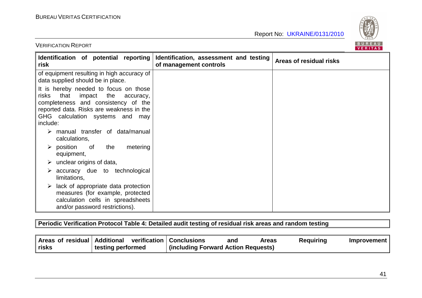

| Identification of potential reporting<br>risk                                                                                                                                                                          | Identification, assessment and testing<br>of management controls | Areas of residual risks |
|------------------------------------------------------------------------------------------------------------------------------------------------------------------------------------------------------------------------|------------------------------------------------------------------|-------------------------|
| of equipment resulting in high accuracy of<br>data supplied should be in place.                                                                                                                                        |                                                                  |                         |
| It is hereby needed to focus on those<br>risks<br>that<br>impact<br>the<br>accuracy,<br>completeness and consistency of the<br>reported data. Risks are weakness in the<br>GHG calculation systems and may<br>include: |                                                                  |                         |
| manual transfer of data/manual<br>calculations,                                                                                                                                                                        |                                                                  |                         |
| $\triangleright$ position<br>the<br>metering<br>of<br>equipment,                                                                                                                                                       |                                                                  |                         |
| unclear origins of data,<br>➤                                                                                                                                                                                          |                                                                  |                         |
| accuracy due to technological<br>limitations,                                                                                                                                                                          |                                                                  |                         |
| lack of appropriate data protection<br>➤<br>measures (for example, protected<br>calculation cells in spreadsheets<br>and/or password restrictions).                                                                    |                                                                  |                         |

**Periodic Verification Protocol Table 4: Detailed audit testing of residual risk areas and random testing** 

|              | Areas of residual   Additional verification   Conclusions |                                     | and | Areas | <b>Requiring</b> | Improvement |
|--------------|-----------------------------------------------------------|-------------------------------------|-----|-------|------------------|-------------|
| <b>risks</b> | testing performed                                         | (including Forward Action Requests) |     |       |                  |             |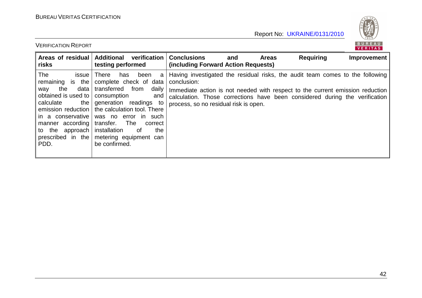

| Areas of residual<br>risks                                                                                                                                                                                         | <b>Additional</b><br>verification<br>testing performed                                                                                                                                                                                                                                                | <b>Conclusions</b><br>(including Forward Action Requests)                                                                                                                                                                                                                                             | and | <b>Areas</b> | <b>Requiring</b> | Improvement |
|--------------------------------------------------------------------------------------------------------------------------------------------------------------------------------------------------------------------|-------------------------------------------------------------------------------------------------------------------------------------------------------------------------------------------------------------------------------------------------------------------------------------------------------|-------------------------------------------------------------------------------------------------------------------------------------------------------------------------------------------------------------------------------------------------------------------------------------------------------|-----|--------------|------------------|-------------|
| The<br>issue<br>remaining is the<br>data<br>the<br>way<br>obtained is used to<br>calculate<br>the  <br>emission reduction<br>in a conservative<br>manner according<br>to the approach<br>prescribed in the<br>PDD. | <b>There</b><br>been<br>has<br>a<br>complete check of data<br>daily<br>transferred from<br>consumption<br>and<br>generation readings to<br>the calculation tool. There<br>was no error in such<br>transfer.<br>The<br>correct<br>installation<br>the<br>of<br>metering equipment can<br>be confirmed. | Having investigated the residual risks, the audit team comes to the following<br>conclusion:<br>Immediate action is not needed with respect to the current emission reduction<br>calculation. Those corrections have been considered during the verification<br>process, so no residual risk is open. |     |              |                  |             |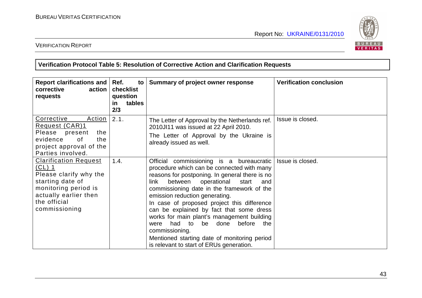

#### VERIFICATION REPORT

### **Verification Protocol Table 5: Resolution of Corrective Action and Clarification Requests**

| Report clarifications and<br>corrective<br>action<br>requests                                                                                                                 | Ref.<br>to<br>checklist<br>question<br>tables<br><u>in</u><br>2/3 | Summary of project owner response                                                                                                                                                                                                                                                                                                                                                                                                                                                                                                                                                 | <b>Verification conclusion</b> |
|-------------------------------------------------------------------------------------------------------------------------------------------------------------------------------|-------------------------------------------------------------------|-----------------------------------------------------------------------------------------------------------------------------------------------------------------------------------------------------------------------------------------------------------------------------------------------------------------------------------------------------------------------------------------------------------------------------------------------------------------------------------------------------------------------------------------------------------------------------------|--------------------------------|
| <b>Corrective</b><br><u>Action</u><br>Request (CAR)1<br>Please<br>present<br>the<br>evidence<br>of<br>the<br>project approval of the<br>Parties involved.                     | 2.1.                                                              | The Letter of Approval by the Netherlands ref.<br>2010JI11 was issued at 22 April 2010.<br>The Letter of Approval by the Ukraine is<br>already issued as well.                                                                                                                                                                                                                                                                                                                                                                                                                    | Issue is closed.               |
| <b>Clarification Request</b><br><u>(CL) 1</u><br>Please clarify why the<br>starting date of<br>monitoring period is<br>actually earlier then<br>the official<br>commissioning | 1.4.                                                              | Official commissioning is a bureaucratic<br>procedure which can be connected with many<br>reasons for postponing. In general there is no<br>operational start<br>between<br>link l<br>and<br>commissioning date in the framework of the<br>emission reduction generating.<br>In case of proposed project this difference<br>can be explained by fact that some dress<br>works for main plant's management building<br>before<br>had to<br>be<br>done<br>the<br>were<br>commissioning.<br>Mentioned starting date of monitoring period<br>is relevant to start of ERUs generation. | Issue is closed.               |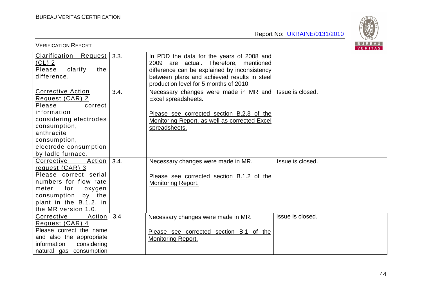

| <b>VERIFICATION REPORT</b>                                                                                                                                                                            | BUREAU<br>VERITAS |                                                                                                                                                                                                                             |                  |  |  |
|-------------------------------------------------------------------------------------------------------------------------------------------------------------------------------------------------------|-------------------|-----------------------------------------------------------------------------------------------------------------------------------------------------------------------------------------------------------------------------|------------------|--|--|
| Clarification Request<br>$CL)$ 2<br>clarify<br>Please<br>the<br>difference.                                                                                                                           | 3.3.              | In PDD the data for the years of 2008 and<br>2009 are actual. Therefore, mentioned<br>difference can be explained by inconsistency<br>between plans and achieved results in steel<br>production level for 5 months of 2010. |                  |  |  |
| <b>Corrective Action</b><br>Request (CAR) 2<br>Please<br>correct<br>information<br>considering electrodes<br>consumption,<br>anthracite<br>consumption,<br>electrode consumption<br>by ladle furnace. | 3.4.              | Necessary changes were made in MR and<br>Excel spreadsheets.<br>Please see corrected section B.2.3 of the<br>Monitoring Report, as well as corrected Excel<br>spreadsheets.                                                 | Issue is closed. |  |  |
| Action<br>Corrective<br>request (CAR) 3<br>Please correct serial<br>numbers for flow rate<br>for<br>meter<br>oxygen<br>consumption<br>by the<br>plant in the B.1.2. in<br>the MR version 1.0.         | 3.4.              | Necessary changes were made in MR.<br>Please see corrected section B.1.2 of the<br><b>Monitoring Report.</b>                                                                                                                | Issue is closed. |  |  |
| Corrective<br>Action<br>Request (CAR) 4<br>Please correct the name<br>and also the appropriate<br>information<br>considering<br>natural gas consumption                                               | 3.4               | Necessary changes were made in MR.<br>Please see corrected section B.1 of the<br><b>Monitoring Report.</b>                                                                                                                  | Issue is closed. |  |  |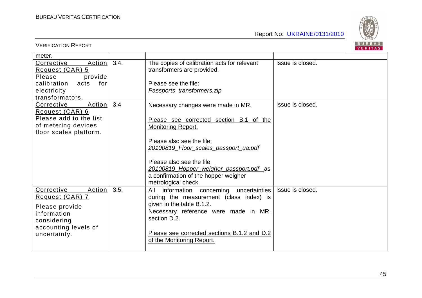

|                         |      |                                             | VERIIAS          |
|-------------------------|------|---------------------------------------------|------------------|
| meter.                  |      |                                             |                  |
| Corrective<br>Action    | 3.4. | The copies of calibration acts for relevant | Issue is closed. |
| Request (CAR) 5         |      | transformers are provided.                  |                  |
| Please<br>provide       |      |                                             |                  |
| calibration acts<br>for |      | Please see the file:                        |                  |
| electricity             |      | Passports_transformers.zip                  |                  |
| transformators.         |      |                                             |                  |
| Corrective<br>Action    | 3.4  | Necessary changes were made in MR.          | Issue is closed. |
| Request (CAR) 6         |      |                                             |                  |
| Please add to the list  |      | Please see corrected section B.1 of the     |                  |
| of metering devices     |      | <b>Monitoring Report.</b>                   |                  |
| floor scales platform.  |      |                                             |                  |
|                         |      | Please also see the file:                   |                  |
|                         |      | 20100819 Floor scales passport ua.pdf       |                  |
|                         |      |                                             |                  |
|                         |      | Please also see the file                    |                  |
|                         |      | 20100819 Hopper weigher passport.pdf as     |                  |
|                         |      | a confirmation of the hopper weigher        |                  |
|                         |      | metrological check.                         |                  |
| Corrective<br>Action    | 3.5. | information concerning uncertainties<br>All | Issue is closed. |
| Request (CAR) 7         |      | during the measurement (class index) is     |                  |
| Please provide          |      | given in the table B.1.2.                   |                  |
| information             |      | Necessary reference were made in MR,        |                  |
| considering             |      | section D.2.                                |                  |
| accounting levels of    |      |                                             |                  |
| uncertainty.            |      | Please see corrected sections B.1.2 and D.2 |                  |
|                         |      | of the Monitoring Report.                   |                  |
|                         |      |                                             |                  |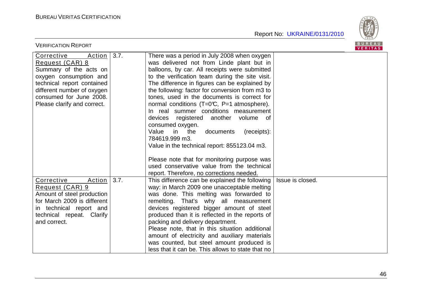

| <b>VERIFICATION REPORT</b>                                                                                                                                                                                        |      |                                                                                                                                                                                                                                                                                                                                                                                                                                                                                                                                                                                                                                                                                                                                                                          | BUREAU<br>VERITAS |
|-------------------------------------------------------------------------------------------------------------------------------------------------------------------------------------------------------------------|------|--------------------------------------------------------------------------------------------------------------------------------------------------------------------------------------------------------------------------------------------------------------------------------------------------------------------------------------------------------------------------------------------------------------------------------------------------------------------------------------------------------------------------------------------------------------------------------------------------------------------------------------------------------------------------------------------------------------------------------------------------------------------------|-------------------|
| Corrective<br>Action<br>Request (CAR) 8<br>Summary of the acts on<br>oxygen consumption and<br>technical report contained<br>different number of oxygen<br>consumed for June 2008.<br>Please clarify and correct. | 3.7. | There was a period in July 2008 when oxygen<br>was delivered not from Linde plant but in<br>balloons, by car. All receipts were submitted<br>to the verification team during the site visit.<br>The difference in figures can be explained by<br>the following: factor for conversion from m3 to<br>tones, used in the documents is correct for<br>normal conditions $(T=0\text{C}, P=1$ atmosphere).<br>In real summer conditions measurement<br>devices registered another volume of<br>consumed oxygen.<br>Value<br>in<br>the<br>documents<br>(receipts):<br>784619.999 m3.<br>Value in the technical report: 855123.04 m3.<br>Please note that for monitoring purpose was<br>used conservative value from the technical<br>report. Therefore, no corrections needed. |                   |
| Corrective<br>Action<br>Request (CAR) 9<br>Amount of steel production<br>for March 2009 is different<br>in technical report and<br>technical repeat. Clarify<br>and correct.                                      | 3.7. | This difference can be explained the following<br>way: in March 2009 one unacceptable melting<br>was done. This melting was forwarded to<br>remelting. That's why all measurement<br>devices registered bigger amount of steel<br>produced than it is reflected in the reports of<br>packing and delivery department.<br>Please note, that in this situation additional<br>amount of electricity and auxiliary materials<br>was counted, but steel amount produced is<br>less that it can be. This allows to state that no                                                                                                                                                                                                                                               | Issue is closed.  |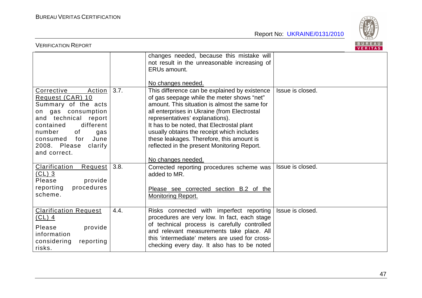

| <b>VERIFICATION REPORT</b>                                                                                                                                                                                                           |      |                                                                                                                                                                                                                                                                                                                                                                                                                                               | <b>BUREAU</b><br>VERITAS |
|--------------------------------------------------------------------------------------------------------------------------------------------------------------------------------------------------------------------------------------|------|-----------------------------------------------------------------------------------------------------------------------------------------------------------------------------------------------------------------------------------------------------------------------------------------------------------------------------------------------------------------------------------------------------------------------------------------------|--------------------------|
|                                                                                                                                                                                                                                      |      | changes needed, because this mistake will<br>not result in the unreasonable increasing of<br><b>ERUs amount.</b><br>No changes needed.                                                                                                                                                                                                                                                                                                        |                          |
| Corrective<br>Action<br>Request (CAR) 10<br>Summary of the acts<br>on gas consumption<br>and technical report<br>different<br>contained<br>number<br>of<br>gas<br>June<br>for<br>consumed<br>2008. Please<br>clarify<br>and correct. | 3.7. | This difference can be explained by existence<br>of gas seepage while the meter shows "net"<br>amount. This situation is almost the same for<br>all enterprises in Ukraine (from Electrostal<br>representatives' explanations).<br>It has to be noted, that Electrostal plant<br>usually obtains the receipt which includes<br>these leakages. Therefore, this amount is<br>reflected in the present Monitoring Report.<br>No changes needed. | Issue is closed.         |
| Clarification<br>Request<br>$(CL)$ 3<br>Please<br>provide<br>procedures<br>reporting<br>scheme.                                                                                                                                      | 3.8. | Corrected reporting procedures scheme was<br>added to MR.<br>Please see corrected section B.2 of the<br><b>Monitoring Report.</b>                                                                                                                                                                                                                                                                                                             | Issue is closed.         |
| <b>Clarification Request</b><br>$(CL)$ 4<br>Please<br>provide<br>information<br>considering<br>reporting<br>risks.                                                                                                                   | 4.4. | Risks connected with imperfect reporting<br>procedures are very low. In fact, each stage<br>of technical process is carefully controlled<br>and relevant measurements take place. All<br>this 'intermediate' meters are used for cross-<br>checking every day. It also has to be noted                                                                                                                                                        | Issue is closed.         |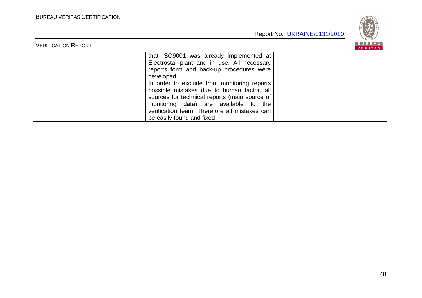

| <b>VERIFICATION REPORT</b> |                                                                                                                                                                                                                                                                                                                                                                                                                        | 5 U K E A U  <br>VERITAS |
|----------------------------|------------------------------------------------------------------------------------------------------------------------------------------------------------------------------------------------------------------------------------------------------------------------------------------------------------------------------------------------------------------------------------------------------------------------|--------------------------|
|                            | that ISO9001 was already implemented at<br>Electrostal plant and in use. All necessary<br>reports form and back-up procedures were<br>developed.<br>In order to exclude from monitoring reports<br>possible mistakes due to human factor, all<br>sources for technical reports (main source of<br>monitoring data) are available to the<br>verification team. Therefore all mistakes can<br>be easily found and fixed. |                          |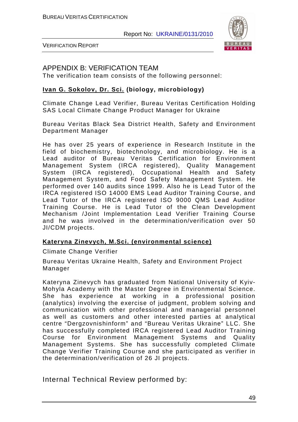

VERIFICATION REPORT

## APPENDIX B: VERIFICATION TEAM

The verification team consists of the following personnel:

### **Ivan G. Sokolov, Dr. Sci. (biology, microbiology)**

Climate Change Lead Verifier, Bureau Veritas Certification Holding SAS Local Climate Change Product Manager for Ukraine

Bureau Veritas Black Sea District Health, Safety and Environment Department Manager

He has over 25 years of experience in Research Institute in the field of biochemistry, biotechnology, and microbiology. He is a Lead auditor of Bureau Veritas Certification for Environment Management System (IRCA registered), Quality Management System (IRCA registered), Occupational Health and Safety Management System, and Food Safety Management System. He performed over 140 audits since 1999. Also he is Lead Tutor of the IRCA registered ISO 14000 EMS Lead Auditor Training Course, and Lead Tutor of the IRCA registered ISO 9000 QMS Lead Auditor Training Course. He is Lead Tutor of the Clean Development Mechanism /Joint Implementation Lead Verifier Training Course and he was involved in the determination/verification over 50 JI/CDM projects.

#### **Kateryna Zinevych, M.Sci. (environmental science)**

Climate Change Verifier

Bureau Veritas Ukraine Health, Safety and Environment Project Manager

Kateryna Zinevych has graduated from National University of Kyiv-Mohyla Academy with the Master Degree in Environmental Science. She has experience at working in a professional position (analytics) involving the exercise of judgment, problem solving and communication with other professional and managerial personnel as well as customers and other interested parties at analytical centre "Dergzovnishinform" and "Bureau Veritas Ukraine" LLC. She has successfully completed IRCA registered Lead Auditor Training Course for Environment Management Systems and Quality Management Systems. She has successfully completed Climate Change Verifier Training Course and she participated as verifier in the determination/verification of 26 JI projects.

Internal Technical Review performed by: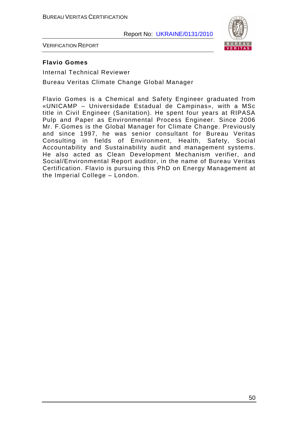

VERIFICATION REPORT

#### **Flavio Gomes**

Internal Technical Reviewer

Bureau Veritas Climate Change Global Manager

Flavio Gomes is a Chemical and Safety Engineer graduated from «UNICAMP – Universidade Estadual de Campinas», with a MSc title in Civil Engineer (Sanitation). He spent four years at RIPASA Pulp and Paper as Environmental Process Engineer. Since 2006 Mr. F.Gomes is the Global Manager for Climate Change. Previously and since 1997, he was senior consultant for Bureau Veritas Consulting in fields of Environment, Health, Safety, Social Accountability and Sustainability audit and management systems. He also acted as Clean Development Mechanism verifier, and Social/Environmental Report auditor, in the name of Bureau Veritas Certification. Flavio is pursuing this PhD on Energy Management at the Imperial College – London.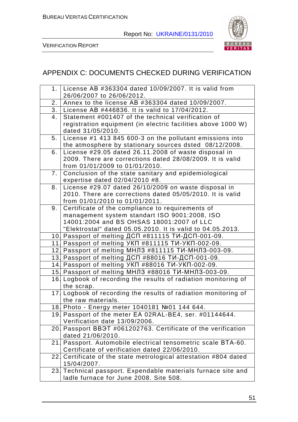

VERIFICATION REPORT

# APPENDIX C: DOCUMENTS CHECKED DURING VERIFICATION

|                | 1. License AB #363304 dated 10/09/2007. It is valid from         |
|----------------|------------------------------------------------------------------|
|                | 26/06/2007 to 26/06/2012.                                        |
| 2 <sub>1</sub> | Annex to the license AB #363304 dated 10/09/2007.                |
| 3.             | License AB #446836. It is valid to 17/04/2012.                   |
| 4.             | Statement #001407 of the technical verification of               |
|                | registration equipment (in electric facilities above 1000 W)     |
|                | dated 31/05/2010.                                                |
| 5 <sub>1</sub> | License #1 413 845 600-3 on the pollutant emissions into         |
|                | the atmosphere by stationary sources dsted 08/12/2008.           |
| 6.             | License #29.05 dated 26.11.2008 of waste disposal in             |
|                | 2009. There are corrections dated 28/08/2009. It is valid        |
|                | from 01/01/2009 to 01/01/2010.                                   |
| 7 <sub>1</sub> | Conclusion of the state sanitary and epidemiological             |
|                | expertise dated 02/04/2010 #8.                                   |
| 8.             | License #29.07 dated 26/10/2009 on waste disposal in             |
|                | 2010. There are corrections dated 05/05/2010. It is valid        |
|                | from 01/01/2010 to 01/01/2011.                                   |
| 9.             | Certificate of the compliance to requirements of                 |
|                | management system standart ISO 9001:2008, ISO                    |
|                | 14001:2004 and BS OHSAS 18001:2007 of LLC                        |
|                | "Elektrostal" dated 05.05.2010. It is valid to 04.05.2013.       |
|                | 10. Passport of melting ДСП #811115 ТИ-ДСП-001-09.               |
|                | 11. Passport of melting YKN #811115 TV-YKN-002-09.               |
|                | 12. Passport of melting МНЛЗ #811115 ТИ-МНЛЗ-003-09.             |
|                | 13. Passport of melting ДСП #88016 ТИ-ДСП-001-09.                |
|                | 14. Passport of melting YKN #88016 TV-YKN-002-09.                |
|                | 15. Passport of melting МНЛЗ #88016 ТИ-МНЛЗ-003-09.              |
| 16.            | Logbook of recording the results of radiation monitoring of      |
|                | the scrap.                                                       |
|                | 17. Logbook of recording the results of radiation monitoring of  |
|                | the raw materials.                                               |
|                | 18 Photo - Energy meter 1040181 Nº01 144 644.                    |
|                | 19. Passport of the meter EA 02RAL-BE4, ser. #01144644.          |
|                | Verification date 13/09/2006.                                    |
|                | 20. Passport BB9T #061202763. Certificate of the verification    |
|                | dated 21/06/2010.                                                |
| 21             | Passport. Automobile electrical tensometric scale BTA-60.        |
|                | Certificate of verification dated 22/06/2010.                    |
|                | 22. Certificate of the state metrological attestation #804 dated |
|                | 15/04/2007.                                                      |
| 23.            | Technical passport. Expendable materials furnace site and        |
|                | ladle furnace for June 2008. Site 508.                           |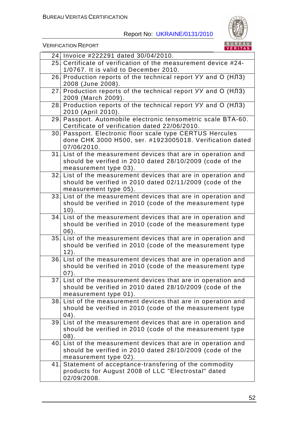

VERIFICATION REPORT

|     | 24. Invoice #222291 dated 30/04/2010.                                                                                     |
|-----|---------------------------------------------------------------------------------------------------------------------------|
|     | 25. Certificate of verification of the measurement device #24-                                                            |
|     | 1/0767. It is valid to December 2010.                                                                                     |
|     | 26. Production reports of the technical report YY and $\overline{O}$ (HJ3)                                                |
|     | 2008 (June 2008).                                                                                                         |
|     | 27 Production reports of the technical report УУ and О (НЛЗ)                                                              |
|     | 2009 (March 2009).                                                                                                        |
|     | 28. Production reports of the technical report УУ and О (НЛЗ)                                                             |
|     | 2010 (April 2010).                                                                                                        |
|     | 29. Passport. Automobile electronic tensometric scale BTA-60.                                                             |
|     | Certificate of verification dated 22/06/2010.                                                                             |
|     | 30. Passport. Electronic floor scale type CERTUS Hercules                                                                 |
|     | done CHK 3000 H500, ser. #1923005018. Verification dated                                                                  |
|     | 07/06/2010.                                                                                                               |
|     | 31. List of the measurement devices that are in operation and                                                             |
|     | should be verified in 2010 dated 28/10/2009 (code of the                                                                  |
|     | measurement type 03).<br>32. List of the measurement devices that are in operation and                                    |
|     | should be verified in 2010 dated 02/11/2009 (code of the                                                                  |
|     | measurement type 05).                                                                                                     |
|     | 33. List of the measurement devices that are in operation and                                                             |
|     | should be verified in 2010 (code of the measurement type                                                                  |
|     | $10$ .                                                                                                                    |
|     | 34. List of the measurement devices that are in operation and                                                             |
|     | should be verified in 2010 (code of the measurement type                                                                  |
|     | $06$ ).                                                                                                                   |
|     | 35 List of the measurement devices that are in operation and                                                              |
|     | should be verified in 2010 (code of the measurement type                                                                  |
|     | $12$ .                                                                                                                    |
|     | 36. List of the measurement devices that are in operation and                                                             |
|     | should be verified in 2010 (code of the measurement type                                                                  |
|     | 07).                                                                                                                      |
|     | 37. List of the measurement devices that are in operation and                                                             |
|     | should be verified in 2010 dated 28/10/2009 (code of the                                                                  |
|     | measurement type 01).                                                                                                     |
|     | 38. List of the measurement devices that are in operation and<br>should be verified in 2010 (code of the measurement type |
|     | (04).                                                                                                                     |
| 39. | List of the measurement devices that are in operation and                                                                 |
|     | should be verified in 2010 (code of the measurement type                                                                  |
|     | $(08)$ .                                                                                                                  |
|     | 40. List of the measurement devices that are in operation and                                                             |
|     | should be verified in 2010 dated 28/10/2009 (code of the                                                                  |
|     | measurement type 02).                                                                                                     |
| 41. | Statement of acceptance-transfering of the commodity                                                                      |
|     | products for August 2008 of LLC "Electrostal" dated                                                                       |
|     | 02/09/2008.                                                                                                               |